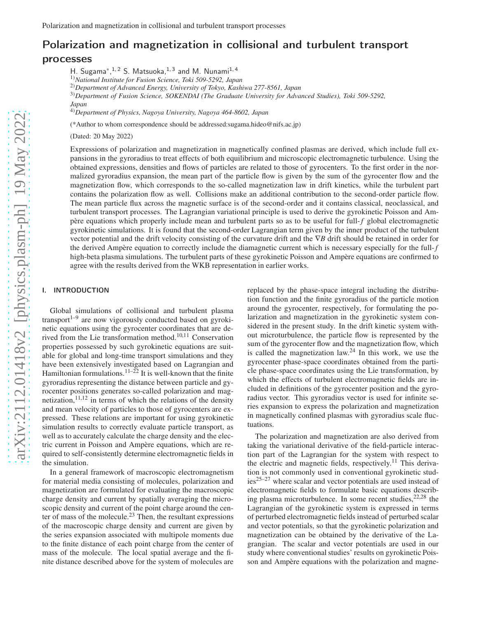# Polarization and magnetization in collisional and turbulent transport processes

H. Sugama<sup>\*</sup>,<sup>1,2</sup> S. Matsuoka,<sup>1,3</sup> and M. Nunami<sup>1,4</sup>

1)*National Institute for Fusion Science, Toki 509-5292, Japan*

2)*Department of Advanced Energy, University of Tokyo, Kashiwa 277-8561, Japan*

3)*Department of Fusion Science, SOKENDAI (The Graduate University for Advanced Studies), Toki 509-5292,*

*Japan*

4)*Department of Physics, Nagoya University, Nagoya 464-8602, Japan*

(\*Author to whom correspondence should be addressed:sugama.hideo@nifs.ac.jp)

(Dated: 20 May 2022)

Expressions of polarization and magnetization in magnetically confined plasmas are derived, which include full expansions in the gyroradius to treat effects of both equilibrium and microscopic electromagnetic turbulence. Using the obtained expressions, densities and flows of particles are related to those of gyrocenters. To the first order in the normalized gyroradius expansion, the mean part of the particle flow is given by the sum of the gyrocenter flow and the magnetization flow, which corresponds to the so-called magnetization law in drift kinetics, while the turbulent part contains the polarization flow as well. Collisions make an additional contribution to the second-order particle flow. The mean particle flux across the magnetic surface is of the second-order and it contains classical, neoclassical, and turbulent transport processes. The Lagrangian variational principle is used to derive the gyrokinetic Poisson and Ampère equations which properly include mean and turbulent parts so as to be useful for full-*f* global electromagnetic gyrokinetic simulations. It is found that the second-order Lagrangian term given by the inner product of the turbulent vector potential and the drift velocity consisting of the curvature drift and the ∇*B* drift should be retained in order for the derived Ampère equation to correctly include the diamagnetic current which is necessary especially for the full-*f* high-beta plasma simulations. The turbulent parts of these gyrokinetic Poisson and Ampère equations are confirmed to agree with the results derived from the WKB representation in earlier works.

#### I. INTRODUCTION

Global simulations of collisional and turbulent plasma transport $1-9$  are now vigorously conducted based on gyrokinetic equations using the gyrocenter coordinates that are derived from the Lie transformation method.<sup>10,11</sup> Conservation properties possessed by such gyrokinetic equations are suitable for global and long-time transport simulations and they have been extensively investigated based on Lagrangian and Hamiltonian formulations.<sup>11–22</sup> It is well-known that the finite gyroradius representing the distance between particle and gyrocenter positions generates so-called polarization and magnetization, $11,12$  in terms of which the relations of the density and mean velocity of particles to those of gyrocenters are expressed. These relations are important for using gyrokinetic simulation results to correctly evaluate particle transport, as well as to accurately calculate the charge density and the electric current in Poisson and Ampère equations, which are required to self-consistently determine electromagnetic fields in the simulation.

In a general framework of macroscopic electromagnetism for material media consisting of molecules, polarization and magnetization are formulated for evaluating the macroscopic charge density and current by spatially averaging the microscopic density and current of the point charge around the center of mass of the molecule.<sup>23</sup> Then, the resultant expressions of the macroscopic charge density and current are given by the series expansion associated with multipole moments due to the finite distance of each point charge from the center of mass of the molecule. The local spatial average and the finite distance described above for the system of molecules are

replaced by the phase-space integral including the distribution function and the finite gyroradius of the particle motion around the gyrocenter, respectively, for formulating the polarization and magnetization in the gyrokinetic system considered in the present study. In the drift kinetic system without microturbulence, the particle flow is represented by the sum of the gyrocenter flow and the magnetization flow, which is called the magnetization law.<sup>24</sup> In this work, we use the gyrocenter phase-space coordinates obtained from the particle phase-space coordinates using the Lie transformation, by which the effects of turbulent electromagnetic fields are included in definitions of the gyrocenter position and the gyroradius vector. This gyroradius vector is used for infinite series expansion to express the polarization and magnetization in magnetically confined plasmas with gyroradius scale fluctuations.

The polarization and magnetization are also derived from taking the variational derivative of the field-particle interaction part of the Lagrangian for the system with respect to the electric and magnetic fields, respectively.<sup>11</sup> This derivation is not commonly used in conventional gyrokinetic studies25–27 where scalar and vector potentials are used instead of electromagnetic fields to formulate basic equations describing plasma microturbulence. In some recent studies, $22,28$  the Lagrangian of the gyrokinetic system is expressed in terms of perturbed electromagnetic fields instead of perturbed scalar and vector potentials, so that the gyrokinetic polarization and magnetization can be obtained by the derivative of the Lagrangian. The scalar and vector potentials are used in our study where conventional studies' results on gyrokinetic Poisson and Ampère equations with the polarization and magne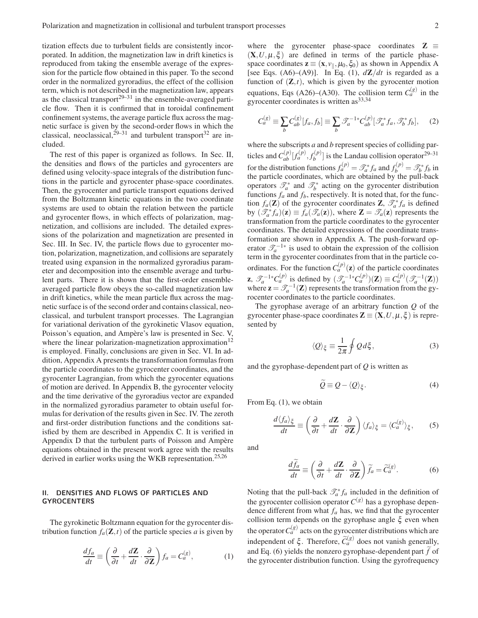tization effects due to turbulent fields are consistently incorporated. In addition, the magnetization law in drift kinetics is reproduced from taking the ensemble average of the expression for the particle flow obtained in this paper. To the second order in the normalized gyroradius, the effect of the collision term, which is not described in the magnetization law, appears as the classical transport<sup>29–31</sup> in the ensemble-averaged particle flow. Then it is confirmed that in toroidal confinement confinement systems, the average particle flux across the magnetic surface is given by the second-order flows in which the classical, neoclassical, $2^{9-31}$  and turbulent transport<sup>32</sup> are included.

The rest of this paper is organized as follows. In Sec. II, the densities and flows of the particles and gyrocenters are defined using velocity-space integrals of the distribution functions in the particle and gyrocenter phase-space coordinates. Then, the gyrocenter and particle transport equations derived from the Boltzmann kinetic equations in the two coordinate systems are used to obtain the relation between the particle and gyrocenter flows, in which effects of polarization, magnetization, and collisions are included. The detailed expressions of the polarization and magnetization are presented in Sec. III. In Sec. IV, the particle flows due to gyrocenter motion, polarization, magnetization, and collisions are separately treated using expansion in the normalized gyroradius parameter and decomposition into the ensemble average and turbulent parts. There it is shown that the first-order ensembleaveraged particle flow obeys the so-called magnetization law in drift kinetics, while the mean particle flux across the magnetic surface is of the second order and contains classical, neoclassical, and turbulent transport processes. The Lagrangian for variational derivation of the gyrokinetic Vlasov equation, Poisson's equation, and Ampère's law is presented in Sec. V, where the linear polarization-magnetization approximation<sup>12</sup> is employed. Finally, conclusions are given in Sec. VI. In addition, Appendix A presents the transformation formulas from the particle coordinates to the gyrocenter coordinates, and the gyrocenter Lagrangian, from which the gyrocenter equations of motion are derived. In Appendix B, the gyrocenter velocity and the time derivative of the gyroradius vector are expanded in the normalized gyroradius parameter to obtain useful formulas for derivation of the results given in Sec. IV. The zeroth and first-order distribution functions and the conditions satisfied by them are described in Appendix C. It is verified in Appendix D that the turbulent parts of Poisson and Ampère equations obtained in the present work agree with the results derived in earlier works using the WKB representation.<sup>25,26</sup>

# II. DENSITIES AND FLOWS OF PARTICLES AND GYROCENTERS

The gyrokinetic Boltzmann equation for the gyrocenter distribution function  $f_a(\mathbf{Z},t)$  of the particle species *a* is given by

$$
\frac{df_a}{dt} \equiv \left(\frac{\partial}{\partial t} + \frac{d\mathbf{Z}}{dt} \cdot \frac{\partial}{\partial \mathbf{Z}}\right) f_a = C_a^{(g)},\tag{1}
$$

where the gyrocenter phase-space coordinates  $\mathbf{Z} \equiv$  $(X, U, \mu, \xi)$  are defined in terms of the particle phasespace coordinates  $z \equiv (x, v_{\parallel}, \mu_0, \xi_0)$  as shown in Appendix A [see Eqs. (A6)–(A9)]. In Eq. (1),  $d\mathbf{Z}/dt$  is regarded as a function of  $(\mathbf{Z}, t)$ , which is given by the gyrocenter motion equations, Eqs (A26)–(A30). The collision term  $C_a^{(g)}$  in the gyrocenter coordinates is written  $as^{33,34}$ 

$$
C_a^{(g)} \equiv \sum_b C_{ab}^{(g)} [f_a, f_b] \equiv \sum_b \mathcal{J}_a^{-1*} C_{ab}^{(p)} [\mathcal{J}_a^* f_a, \mathcal{J}_b^* f_b], \quad (2)
$$

where the subscripts *a* and *b* represent species of colliding particles and  $C_{ab}^{(p)}[f_a^{(p)}, f_b^{(p)}]$  $\binom{p}{b}$  is the Landau collision operator<sup>29–31</sup> for the distribution functions  $f_a^{(p)} = \mathcal{T}_a^* f_a$  and  $f_b^{(p)} = \mathcal{T}_b^* f_b$  in the particle coordinates, which are obtained by the pull-back operators  $\mathcal{T}_a^*$  and  $\mathcal{T}_b^*$  acting on the gyrocenter distribution functions  $f_a$  and  $f_b$ , respectively. It is noted that, for the function  $f_a(\mathbf{Z})$  of the gyrocenter coordinates  $\mathbf{Z}$ ,  $\mathcal{T}_a^* f_a$  is defined by  $(\overline{\mathscr{S}_a^* f_a})(\mathbf{z}) \equiv f_a(\mathscr{T}_a(\mathbf{z}))$ , where  $\mathbf{Z} = \mathscr{T}_a(\mathbf{z})$  represents the transformation from the particle coordinates to the gyrocenter coordinates. The detailed expressions of the coordinate transformation are shown in Appendix A. The push-forward operator  $\mathscr{T}_a^{-1*}$  is used to obtain the expression of the collision term in the gyrocenter coordinates from that in the particle coordinates. For the function  $C_a^{(p)}(z)$  of the particle coordinates *z*,  $\mathscr{T}_a^{-1*}C_a^{(p)}$  is defined by  $(\mathscr{T}_a^{-1*}C_a^{(p)})(\mathbf{Z}) \equiv C_a^{(p)}(\mathscr{T}_a^{-1}(\mathbf{Z}))$ where  $\mathbf{z} = \mathcal{T}_a^{-1}(\mathbf{Z})$  represents the transformation from the gyrocenter coordinates to the particle coordinates.

The gyrophase average of an arbitrary function *Q* of the gyrocenter phase-space coordinates  $\mathbf{Z} \equiv (\mathbf{X}, U, \mu, \xi)$  is represented by

$$
\langle Q \rangle_{\xi} \equiv \frac{1}{2\pi} \oint Q d\xi, \qquad (3)
$$

and the gyrophase-dependent part of *Q* is written as

$$
Q \equiv Q - \langle Q \rangle_{\xi}.
$$
 (4)

From Eq. (1), we obtain

$$
\frac{d\langle f_a \rangle_{\xi}}{dt} \equiv \left(\frac{\partial}{\partial t} + \frac{d\mathbf{Z}}{dt} \cdot \frac{\partial}{\partial \mathbf{Z}}\right) \langle f_a \rangle_{\xi} = \langle C_a^{(g)} \rangle_{\xi},\qquad(5)
$$

and

$$
\frac{d\widetilde{f}_a}{dt} \equiv \left(\frac{\partial}{\partial t} + \frac{d\mathbf{Z}}{dt} \cdot \frac{\partial}{\partial \mathbf{Z}}\right) \widetilde{f}_a = \widetilde{C}_a^{(g)}.
$$
 (6)

Noting that the pull-back  $\mathcal{T}_a^* f_a$  included in the definition of the gyrocenter collision operator  $C^{(g)}$  has a gyrophase dependence different from what  $f_a$  has, we find that the gyrocenter collision term depends on the gyrophase angle  $\xi$  even when the operator  $C_a^{(g)}$  acts on the gyrocenter distributions which are independent of  $\xi$ . Therefore,  $\widetilde{C}_a^{(g)}$  does not vanish generally, and Eq.  $(6)$  yields the nonzero gyrophase-dependent part  $\hat{f}$  of the gyrocenter distribution function. Using the gyrofrequency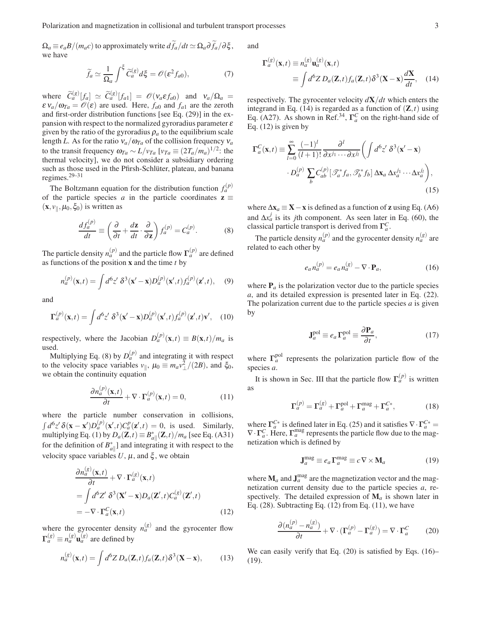$\Omega_a \equiv e_a B/(m_a c)$  to approximately write  $d\tilde{f}_a/dt \simeq \Omega_a \partial \tilde{f}_a/\partial \xi$ , we have

$$
\widetilde{f}_a \simeq \frac{1}{\Omega_a} \int^{\xi} \widetilde{C}_a^{(g)} d\xi = \mathcal{O}(\varepsilon^2 f_{a0}),\tag{7}
$$

where  $\widetilde{C}_a^{(g)}[f_a] \simeq \widetilde{C}_a^{(g)}[f_{a1}] = \mathscr{O}(v_a \varepsilon f_{a0})$  and  $v_a/\Omega_a =$  $\epsilon v_a/\omega_{Ta} = \mathcal{O}(\epsilon)$  are used. Here,  $f_{a0}$  and  $f_{a1}$  are the zeroth and first-order distribution functions [see Eq. (29)] in the expansion with respect to the normalized gyroradius parameter  $\varepsilon$ given by the ratio of the gyroradius  $\rho_a$  to the equilibrium scale length *L*. As for the ratio  $v_a/\omega_{Ta}$  of the collision frequency  $v_a$ to the transit frequency  $\omega_{Ta} \sim L/v_{Ta}$  [ $v_{Ta} \equiv (2T_a/m_a)^{1/2}$ : the thermal velocity], we do not consider a subsidiary ordering such as those used in the Pfirsh-Schlüter, plateau, and banana regimes.29–31

The Boltzmann equation for the distribution function  $f_a^{(p)}$ of the particle species *a* in the particle coordinates  $z \equiv$  $(\mathbf{x}, v_{\parallel}, \mu_0, \xi_0)$  is written as

$$
\frac{df_a^{(p)}}{dt} \equiv \left(\frac{\partial}{\partial t} + \frac{d\mathbf{z}}{dt} \cdot \frac{\partial}{\partial \mathbf{z}}\right) f_a^{(p)} = C_a^{(p)}.\tag{8}
$$

The particle density  $n_a^{(p)}$  and the particle flow  $\Gamma_a^{(p)}$  are defined as functions of the position x and the time *t* by

$$
n_a^{(p)}(\mathbf{x},t) = \int d^6 z' \ \delta^3(\mathbf{x}' - \mathbf{x}) D_a^{(p)}(\mathbf{x}',t) f_a^{(p)}(\mathbf{z}',t), \quad (9)
$$

and

$$
\Gamma_a^{(p)}(\mathbf{x},t) = \int d^6 z' \ \delta^3(\mathbf{x}' - \mathbf{x}) D_a^{(p)}(\mathbf{x}',t) f_a^{(p)}(\mathbf{z}',t) \mathbf{v}', \quad (10)
$$

respectively, where the Jacobian  $D_a^{(p)}(\mathbf{x},t) \equiv B(\mathbf{x},t)/m_a$  is used.

Multiplying Eq. (8) by  $D_a^{(p)}$  and integrating it with respect to the velocity space variables  $v_{\parallel}$ ,  $\mu_0 \equiv m_a v_{\perp}^2/(2B)$ , and  $\xi_0$ , we obtain the continuity equation

$$
\frac{\partial n_a^{(p)}(\mathbf{x},t)}{\partial t} + \nabla \cdot \mathbf{\Gamma}_a^{(p)}(\mathbf{x},t) = 0,\tag{11}
$$

where the particle number conservation in collisions,  $\int d^6z' \, \delta(\mathbf{x} - \mathbf{x}') D_a^{(p)}(\mathbf{x}',t) C_a^p(\mathbf{z}',t) = 0$ , is used. Similarly, multiplying Eq. (1) by  $D_a(\mathbf{Z}, t) \equiv B^*_{a||}(\mathbf{Z}, t) / m_a$  [see Eq. (A31) for the definition of  $B_{a||}^*$  and integrating it with respect to the velocity space variables  $U$ ,  $\mu$ , and  $\xi$ , we obtain

$$
\frac{\partial n_a^{(g)}(\mathbf{x},t)}{\partial t} + \nabla \cdot \Gamma_a^{(g)}(\mathbf{x},t)
$$
\n
$$
= \int d^6 Z' \, \delta^3(\mathbf{X}' - \mathbf{x}) D_a(\mathbf{Z}',t) C_a^{(g)}(\mathbf{Z}',t)
$$
\n
$$
= -\nabla \cdot \Gamma_a^C(\mathbf{x},t) \tag{12}
$$

where the gyrocenter density  $n_a^{(g)}$  and the gyrocenter flow  $\Gamma_a^{(g)} \equiv n_a^{(g)} \mathbf{u}_a^{(g)}$  are defined by

$$
n_a^{(g)}(\mathbf{x},t) = \int d^6 Z \, D_a(\mathbf{Z},t) f_a(\mathbf{Z},t) \delta^3(\mathbf{X}-\mathbf{x}),\tag{13}
$$

and

$$
\mathbf{\Gamma}_a^{(g)}(\mathbf{x},t) \equiv n_a^{(g)} \mathbf{u}_a^{(g)}(\mathbf{x},t)
$$
  
 
$$
\equiv \int d^6 Z \, D_a(\mathbf{Z},t) f_a(\mathbf{Z},t) \delta^3(\mathbf{X}-\mathbf{x}) \frac{d\mathbf{X}}{dt}, \quad (14)
$$

respectively. The gyrocenter velocity *d*X/*dt* which enters the integrand in Eq. (14) is regarded as a function of  $(\mathbf{Z}, t)$  using Eq. (A27). As shown in Ref.<sup>34</sup>,  $\Gamma_a^C$  on the right-hand side of Eq.  $(12)$  is given by

$$
\Gamma_a^C(\mathbf{x},t) \equiv \sum_{l=0}^{\infty} \frac{(-1)^l}{(l+1)!} \frac{\partial^l}{\partial x^{j_1} \cdots \partial x^{j_l}} \bigg( \int d^6 z' \ \delta^3(\mathbf{x}' - \mathbf{x})
$$

$$
\cdot D_a^{(p)} \sum_b C_{ab}^{(p)} [\mathcal{T}_a^* f_a, \mathcal{T}_b^* f_b] \Delta \mathbf{x}_a \Delta x_a^{j_1} \cdots \Delta x_a^{j_l} \bigg), \tag{15}
$$

where  $\Delta x_a \equiv X - x$  is defined as a function of **z** using Eq. (A6) and  $\Delta x_a^j$  is its *j*th component. As seen later in Eq. (60), the classical particle transport is derived from  $\Gamma_a^C$ .

The particle density  $n_a^{(p)}$  and the gyrocenter density  $n_a^{(g)}$  are related to each other by

$$
e_a n_a^{(p)} = e_a n_a^{(g)} - \nabla \cdot \mathbf{P}_a,\tag{16}
$$

where  $P_a$  is the polarization vector due to the particle species *a*, and its detailed expression is presented later in Eq. (22). The polarization current due to the particle species *a* is given by

$$
\mathbf{J}_a^{\text{pol}} \equiv e_a \, \mathbf{\Gamma}_a^{\text{pol}} \equiv \frac{\partial \mathbf{P}_a}{\partial t},\tag{17}
$$

where  $\Gamma_a^{\text{pol}}$  represents the polarization particle flow of the species *a*.

It is shown in Sec. III that the particle flow  $\Gamma_a^{(p)}$  is written as

$$
\Gamma_a^{(p)} = \Gamma_a^{(g)} + \Gamma_a^{\text{pol}} + \Gamma_a^{\text{mag}} + \Gamma_a^{C*},\tag{18}
$$

where  $\Gamma_a^{C*}$  is defined later in Eq. (25) and it satisfies  $\nabla \cdot \Gamma_a^{C*} =$  $\nabla \cdot \Gamma_a^C$ . Here,  $\Gamma_a^{\text{mag}}$  represents the particle flow due to the magnetization which is defined by

$$
\mathbf{J}_a^{\text{mag}} \equiv e_a \mathbf{\Gamma}_a^{\text{mag}} \equiv c \nabla \times \mathbf{M}_a \tag{19}
$$

where  $M_a$  and  $J_a^{mag}$  are the magnetization vector and the magnetization current density due to the particle species *a*, respectively. The detailed expression of  $M_a$  is shown later in Eq.  $(28)$ . Subtracting Eq.  $(12)$  from Eq.  $(11)$ , we have

$$
\frac{\partial (n_a^{(p)} - n_a^{(g)})}{\partial t} + \nabla \cdot (\Gamma_a^{(p)} - \Gamma_a^{(g)}) = \nabla \cdot \Gamma_a^C \tag{20}
$$

We can easily verify that Eq. (20) is satisfied by Eqs. (16)– (19).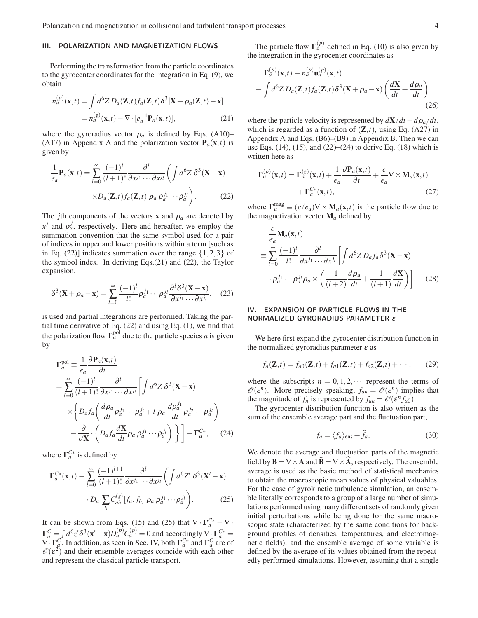## III. POLARIZATION AND MAGNETIZATION FLOWS

Performing the transformation from the particle coordinates to the gyrocenter coordinates for the integration in Eq. (9), we obtain

$$
n_a^{(p)}(\mathbf{x},t) = \int d^6 Z \, D_a(\mathbf{Z},t) f_a(\mathbf{Z},t) \delta^3 [\mathbf{X} + \rho_a(\mathbf{Z},t) - \mathbf{x}]
$$

$$
= n_a^{(g)}(\mathbf{x},t) - \nabla \cdot [e_a^{-1} \mathbf{P}_a(\mathbf{x},t)], \tag{21}
$$

where the gyroradius vector  $\rho_a$  is defined by Eqs. (A10)– (A17) in Appendix A and the polarization vector  $P_a(x,t)$  is given by

$$
\frac{1}{e_a} \mathbf{P}_a(\mathbf{x}, t) = \sum_{l=0}^{\infty} \frac{(-1)^l}{(l+1)!} \frac{\partial^l}{\partial x^{j_1} \cdots \partial x^{j_l}} \left( \int d^6 Z \, \delta^3(\mathbf{X} - \mathbf{x}) \times D_a(\mathbf{Z}, t) f_a(\mathbf{Z}, t) \, \rho_a \, \rho_a^{j_1} \cdots \rho_a^{j_l} \right). \tag{22}
$$

The *j*th components of the vectors **x** and  $\rho_a$  are denoted by  $x^j$  and  $\rho_a^j$ , respectively. Here and hereafter, we employ the summation convention that the same symbol used for a pair of indices in upper and lower positions within a term [such as in Eq. (22)] indicates summation over the range  $\{1,2,3\}$  of the symbol index. In deriving Eqs.(21) and (22), the Taylor expansion,

$$
\delta^3(\mathbf{X} + \boldsymbol{\rho}_a - \mathbf{x}) = \sum_{l=0}^{\infty} \frac{(-1)^l}{l!} \rho_a^{j_1} \cdots \rho_a^{j_l} \frac{\partial^l \delta^3(\mathbf{X} - \mathbf{x})}{\partial x^{j_1} \cdots \partial x^{j_l}},\tag{23}
$$

is used and partial integrations are performed. Taking the partial time derivative of Eq. (22) and using Eq. (1), we find that the polarization flow  $\Gamma_a^{\text{pol}}$  due to the particle species *a* is given by

$$
\begin{split} \mathbf{\Gamma}_{a}^{\text{pol}} &\equiv \frac{1}{e_{a}} \frac{\partial \mathbf{P}_{a}(\mathbf{x},t)}{\partial t} \\ &= \sum_{l=0}^{\infty} \frac{(-1)^{l}}{(l+1)!} \frac{\partial^{l}}{\partial x^{j_{1}} \cdots \partial x^{j_{l}}} \left[ \int d^{6}Z \ \delta^{3}(\mathbf{X} - \mathbf{x}) \right. \\ &\times \left\{ D_{a} f_{a} \left( \frac{d\rho_{a}}{dt} \rho_{a}^{j_{1}} \cdots \rho_{a}^{j_{l}} + l \ \rho_{a} \ \frac{d\rho_{a}^{j_{1}}}{dt} \rho_{a}^{j_{2}} \cdots \rho_{a}^{j_{l}} \right) \right. \\ &\left. - \frac{\partial}{\partial \mathbf{X}} \cdot \left( D_{a} f_{a} \frac{d\mathbf{X}}{dt} \rho_{a} \ \rho_{a}^{j_{1}} \cdots \rho_{a}^{j_{l}} \right) \right\} \right] - \mathbf{\Gamma}_{a}^{C*}, \end{split} \tag{24}
$$

where  $\Gamma_a^{C*}$  is defined by

$$
\Gamma_a^{C*}(\mathbf{x},t) \equiv \sum_{l=0}^{\infty} \frac{(-1)^{l+1}}{(l+1)!} \frac{\partial^l}{\partial x^{j_1} \cdots \partial x^{j_l}} \left( \int d^6 Z' \ \delta^3(\mathbf{X}' - \mathbf{x}) \cdot D_a \sum_b C_{ab}^{(s)} [f_a, f_b] \ \rho_a \ \rho_a^{j_1} \cdots \rho_a^{j_l} \right). \tag{25}
$$

It can be shown from Eqs. (15) and (25) that  $\nabla \cdot \Gamma_a^{C*} - \nabla \cdot$  $\Gamma_a^C = \int d^6z' \delta^3(\mathbf{x}'-\mathbf{x})D_a^{(p)}C_a^{(p)} = 0$  and accordingly  $\nabla \cdot \Gamma_a^{C*} =$  $\nabla \cdot \Gamma_a^C$ . In addition, as seen in Sec. IV, both  $\Gamma_a^{C*}$  and  $\Gamma_a^C$  are of  $\mathscr{O}(\varepsilon^2)$  and their ensemble averages coincide with each other and represent the classical particle transport.

The particle flow  $\Gamma_a^{(p)}$  defined in Eq. (10) is also given by the integration in the gyrocenter coordinates as

$$
\Gamma_a^{(p)}(\mathbf{x},t) \equiv n_a^{(p)} \mathbf{u}_a^{(p)}(\mathbf{x},t)
$$
  
\n
$$
\equiv \int d^6 Z \, D_a(\mathbf{Z},t) f_a(\mathbf{Z},t) \delta^3(\mathbf{X} + \boldsymbol{\rho}_a - \mathbf{x}) \left( \frac{d\mathbf{X}}{dt} + \frac{d\boldsymbol{\rho}_a}{dt} \right).
$$
\n(26)

where the particle velocity is represented by  $dX/dt + d\rho_a/dt$ , which is regarded as a function of  $(\mathbf{Z}, t)$ , using Eq. (A27) in Appendix A and Eqs. (B6)–(B9) in Appendix B. Then we can use Eqs.  $(14)$ ,  $(15)$ , and  $(22)$ – $(24)$  to derive Eq.  $(18)$  which is written here as

$$
\Gamma_a^{(p)}(\mathbf{x},t) = \Gamma_a^{(g)}(\mathbf{x},t) + \frac{1}{e_a} \frac{\partial \mathbf{P}_a(\mathbf{x},t)}{\partial t} + \frac{c}{e_a} \nabla \times \mathbf{M}_a(\mathbf{x},t) + \Gamma_a^{C*}(\mathbf{x},t),
$$
\n(27)

where  $\Gamma_a^{\text{mag}} \equiv (c/e_a) \nabla \times \mathbf{M}_a(\mathbf{x},t)$  is the particle flow due to the magnetization vector  $M_a$  defined by

$$
\frac{c}{e_a} \mathbf{M}_a(\mathbf{x}, t)
$$
\n
$$
\equiv \sum_{l=0}^{\infty} \frac{(-1)^l}{l!} \frac{\partial^l}{\partial x^{j_1} \cdots \partial x^{j_l}} \left[ \int d^6 Z \, D_a f_a \delta^3 (\mathbf{X} - \mathbf{x}) \right.
$$
\n
$$
\cdot \rho_a^{j_1} \cdots \rho_a^{j_l} \rho_a \times \left( \frac{1}{(l+2)} \frac{d \rho_a}{dt} + \frac{1}{(l+1)} \frac{d \mathbf{X}}{dt} \right) \right]. \quad (28)
$$

# IV. EXPANSION OF PARTICLE FLOWS IN THE NORMALIZED GYRORADIUS PARAMETER <sup>ε</sup>

We here first expand the gyrocenter distribution function in the normalized gyroradius parameter  $\varepsilon$  as

$$
f_a(\mathbf{Z},t) = f_{a0}(\mathbf{Z},t) + f_{a1}(\mathbf{Z},t) + f_{a2}(\mathbf{Z},t) + \cdots,
$$
 (29)

where the subscripts  $n = 0, 1, 2, \cdots$  represent the terms of  $\mathscr{O}(\varepsilon^n)$ . More precisely speaking,  $f_{an} = \mathscr{O}(\varepsilon^n)$  implies that the magnitude of  $f_n$  is represented by  $f_{an} = \mathcal{O}(\varepsilon^n f_{a0})$ .

The gyrocenter distribution function is also written as the sum of the ensemble average part and the fluctuation part,

$$
f_a = \langle f_a \rangle_{\text{ens}} + \hat{f}_a. \tag{30}
$$

We denote the average and fluctuation parts of the magnetic field by  $\mathbf{B} = \nabla \times \mathbf{A}$  and  $\mathbf{B} = \nabla \times \mathbf{A}$ , respectively. The ensemble average is used as the basic method of statistical mechanics to obtain the macroscopic mean values of physical valuables. For the case of gyrokinetic turbulence simulation, an ensemble literally corresponds to a group of a large number of simulations performed using many different sets of randomly given initial perturbations while being done for the same macroscopic state (characterized by the same conditions for background profiles of densities, temperatures, and electromagnetic fields), and the ensemble average of some variable is defined by the average of its values obtained from the repeatedly performed simulations. However, assuming that a single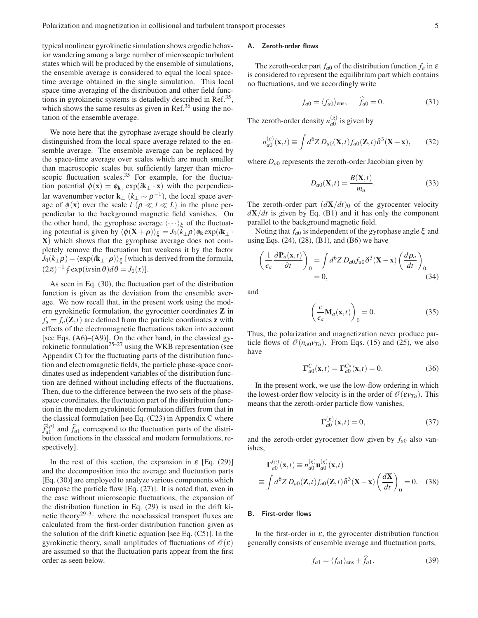typical nonlinear gyrokinetic simulation shows ergodic behavior wandering among a large number of microscopic turbulent states which will be produced by the ensemble of simulations, the ensemble average is considered to equal the local spacetime average obtained in the single simulation. This local space-time averaging of the distribution and other field functions in gyrokinetic systems is detailedly described in Ref.<sup>35</sup>, which shows the same results as given in Ref.<sup>36</sup> using the notation of the ensemble average.

We note here that the gyrophase average should be clearly distinguished from the local space average related to the ensemble average. The ensemble average can be replaced by the space-time average over scales which are much smaller than macroscopic scales but sufficiently larger than microscopic fluctuation scales. $35$  For example, for the fluctuation potential  $\phi(\mathbf{x}) = \phi_{\mathbf{k}_{\perp}} \exp(i\mathbf{k}_{\perp} \cdot \mathbf{x})$  with the perpendicular wavenumber vector  $\mathbf{k}_{\perp}$  ( $k_{\perp} \sim \rho^{-1}$ ), the local space average of  $\phi(\mathbf{x})$  over the scale  $l$  ( $\rho \ll l \ll L$ ) in the plane perpendicular to the background magnetic field vanishes. On the other hand, the gyrophase average  $\langle \cdots \rangle_{\xi}$  of the fluctuating potential is given by  $\langle \phi(\mathbf{X} + \boldsymbol{\rho}) \rangle_{\xi} = J_0(k_{\perp} \boldsymbol{\rho}) \phi_{\mathbf{k}} \exp(i \mathbf{k}_{\perp} \cdot \mathbf{r})$ X) which shows that the gyrophase average does not completely remove the fluctuation but weakens it by the factor  $J_0(k_\perp \rho)$   $=$   $\langle \exp(i{\bf k}_\perp \cdot \boldsymbol{\rho}) \rangle_\xi$  [which is derived from the formula,  $(2\pi)^{-1}$   $\oint$  exp(*ix*sin  $\theta$ ) $d\theta = J_0(x)$ ].

As seen in Eq. (30), the fluctuation part of the distribution function is given as the deviation from the ensemble average. We now recall that, in the present work using the modern gyrokinetic formulation, the gyrocenter coordinates Z in  $f_a = f_a(\mathbf{Z}, t)$  are defined from the particle coordinates **z** with effects of the electromagnetic fluctuations taken into account [see Eqs. (A6)–(A9)]. On the other hand, in the classical gyrokinetic formulation<sup>25–27</sup> using the WKB representation (see Appendix C) for the fluctuating parts of the distribution function and electromagnetic fields, the particle phase-space coordinates used as independent variables of the distribution function are defined without including effects of the fluctuations. Then, due to the difference between the two sets of the phasespace coordinates, the fluctuation part of the distribution function in the modern gyrokinetic formulation differs from that in the classical formulation [see Eq.  $(C23)$  in Appendix C where  $\hat{f}_{a1}^{(p)}$  and  $\hat{f}_{a1}$  correspond to the fluctuation parts of the distribution functions in the classical and modern formulations, respectively].

In the rest of this section, the expansion in  $\varepsilon$  [Eq. (29)] and the decomposition into the average and fluctuation parts [Eq. (30)] are employed to analyze various components which compose the particle flow [Eq. (27)]. It is noted that, even in the case without microscopic fluctuations, the expansion of the distribution function in Eq. (29) is used in the drift kinetic theory<sup>29–31</sup> where the neoclassical transport fluxes are calculated from the first-order distribution function given as the solution of the drift kinetic equation [see Eq. (C5)]. In the gyrokinetic theory, small amplitudes of fluctuations of  $\mathcal{O}(\varepsilon)$ are assumed so that the fluctuation parts appear from the first order as seen below.

## A. Zeroth-order flows

The zeroth-order part  $f_{a0}$  of the distribution function  $f_a$  in  $\varepsilon$ is considered to represent the equilibrium part which contains no fluctuations, and we accordingly write

$$
f_{a0} = \langle f_{a0} \rangle_{\text{ens}}, \quad \hat{f}_{a0} = 0. \tag{31}
$$

The zeroth-order density  $n_{a0}^{(g)}$  $\binom{8}{a}$  is given by

$$
n_{a0}^{(g)}(\mathbf{x},t) \equiv \int d^6 Z \, D_{a0}(\mathbf{X},t) f_{a0}(\mathbf{Z},t) \delta^3(\mathbf{X}-\mathbf{x}),\qquad(32)
$$

where  $D_{a0}$  represents the zeroth-order Jacobian given by

$$
D_{a0}(\mathbf{X},t) = \frac{B(\mathbf{X},t)}{m_a}.
$$
 (33)

The zeroth-order part  $(dX/dt)$ <sup>0</sup> of the gyrocenter velocity  $dX/dt$  is given by Eq. (B1) and it has only the component parallel to the background magnetic field.

Noting that *fa*<sup>0</sup> is independent of the gyrophase angle ξ and using Eqs. (24), (28), (B1), and (B6) we have

$$
\left(\frac{1}{e_a}\frac{\partial \mathbf{P}_a(\mathbf{x},t)}{\partial t}\right)_0 = \int d^6 Z \, D_{a0} f_{a0} \delta^3(\mathbf{X} - \mathbf{x}) \left(\frac{d\rho_a}{dt}\right)_0
$$
\n
$$
= 0,\tag{34}
$$

and

$$
\left(\frac{c}{e_a}\mathbf{M}_a(\mathbf{x},t)\right)_0 = 0.
$$
\n(35)

Thus, the polarization and magnetization never produce particle flows of  $\mathcal{O}(n_{a0}v_{Ta})$ . From Eqs. (15) and (25), we also have

$$
\Gamma_{a0}^C(\mathbf{x},t) = \Gamma_{a0}^{C*}(\mathbf{x},t) = 0.
$$
 (36)

In the present work, we use the low-flow ordering in which the lowest-order flow velocity is in the order of  $\mathcal{O}(\varepsilon v_{Ta})$ . This means that the zeroth-order particle flow vanishes,

$$
\Gamma_{a0}^{(p)}(\mathbf{x},t) = 0,\t\t(37)
$$

and the zeroth-order gyrocenter flow given by  $f_{a0}$  also vanishes,

$$
\mathbf{\Gamma}_{a0}^{(g)}(\mathbf{x},t) \equiv n_{a0}^{(g)} \mathbf{u}_{a0}^{(g)}(\mathbf{x},t)
$$
  

$$
\equiv \int d^6 Z \, D_{a0}(\mathbf{Z},t) f_{a0}(\mathbf{Z},t) \delta^3(\mathbf{X}-\mathbf{x}) \left(\frac{d\mathbf{X}}{dt}\right)_0 = 0. \quad (38)
$$

## B. First-order flows

In the first-order in  $\varepsilon$ , the gyrocenter distribution function generally consists of ensemble average and fluctuation parts,

$$
f_{a1} = \langle f_{a1} \rangle_{\text{ens}} + \hat{f}_{a1}.
$$
 (39)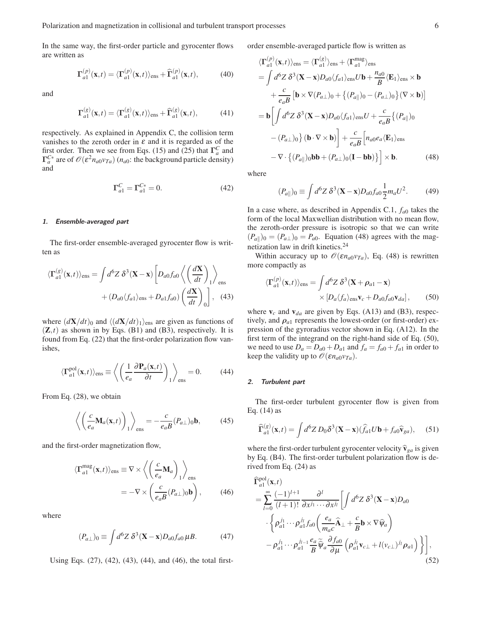In the same way, the first-order particle and gyrocenter flows are written as

$$
\Gamma_{a1}^{(p)}(\mathbf{x},t) = \langle \Gamma_{a1}^{(p)}(\mathbf{x},t) \rangle_{\text{ens}} + \widehat{\Gamma}_{a1}^{(p)}(\mathbf{x},t), \tag{40}
$$

and

$$
\Gamma_{a1}^{(g)}(\mathbf{x},t) = \langle \Gamma_{a1}^{(g)}(\mathbf{x},t) \rangle_{\text{ens}} + \widehat{\Gamma}_{a1}^{(g)}(\mathbf{x},t), \tag{41}
$$

respectively. As explained in Appendix C, the collision term vanishes to the zeroth order in  $\varepsilon$  and it is regarded as of the first order. Then we see from Eqs. (15) and (25) that  $\Gamma_a^C$  and  $\Gamma_a^{C*}$  are of  $\mathcal{O}(\varepsilon^2 n_{a0} v_{Ta})$  ( $n_{a0}$ : the background particle density) and

$$
\Gamma_{a1}^C = \Gamma_{a1}^{C*} = 0. \tag{42}
$$

#### 1. Ensemble-averaged part

The first-order ensemble-averaged gyrocenter flow is written as

$$
\langle \mathbf{\Gamma}_{a1}^{(g)}(\mathbf{x},t) \rangle_{\text{ens}} = \int d^6 Z \, \delta^3(\mathbf{X} - \mathbf{x}) \left[ D_{a0} f_{a0} \left\langle \left( \frac{d\mathbf{X}}{dt} \right)_1 \right\rangle_{\text{ens}} \right. \\ \left. + (D_{a0} \langle f_{a1} \rangle_{\text{ens}} + D_{a1} f_{a0}) \left( \frac{d\mathbf{X}}{dt} \right)_0 \right], \tag{43}
$$

where  $\left(\frac{dX}{dt}\right)_0$  and  $\left(\frac{dX}{dt}\right)_1$ <sub>ens</sub> are given as functions of  $(\mathbf{Z},t)$  as shown in by Eqs. (B1) and (B3), respectively. It is found from Eq. (22) that the first-order polarization flow vanishes,

$$
\langle \Gamma_{a1}^{\text{pol}}(\mathbf{x},t) \rangle_{\text{ens}} \equiv \left\langle \left( \frac{1}{e_a} \frac{\partial \mathbf{P}_a(\mathbf{x},t)}{\partial t} \right)_1 \right\rangle_{\text{ens}} = 0. \tag{44}
$$

From Eq. (28), we obtain

$$
\left\langle \left( \frac{c}{e_a} \mathbf{M}_a(\mathbf{x}, t) \right)_1 \right\rangle_{\text{ens}} = -\frac{c}{e_a B} (P_{a\perp})_0 \mathbf{b},\tag{45}
$$

and the first-order magnetization flow,

$$
\langle \mathbf{\Gamma}_{a1}^{\text{mag}}(\mathbf{x},t) \rangle_{\text{ens}} \equiv \nabla \times \left\langle \left( \frac{c}{e_a} \mathbf{M}_a \right)_1 \right\rangle_{\text{ens}}
$$

$$
= -\nabla \times \left( \frac{c}{e_a B} (P_{a\perp})_0 \mathbf{b} \right), \qquad (46)
$$

where

$$
(P_{a\perp})_0 \equiv \int d^6 Z \ \delta^3 (\mathbf{X} - \mathbf{x}) D_{a0} f_{a0} \,\mu B. \tag{47}
$$

Using Eqs. (27), (42), (43), (44), and (46), the total first-

order ensemble-averaged particle flow is written as

$$
\langle \mathbf{\Gamma}_{a1}^{(p)}(\mathbf{x},t) \rangle_{\text{ens}} = \langle \mathbf{\Gamma}_{a1}^{(g)} \rangle_{\text{ens}} + \langle \mathbf{\Gamma}_{a1}^{\text{mag}} \rangle_{\text{ens}}
$$
  
\n
$$
= \int d^6 Z \, \delta^3(\mathbf{X} - \mathbf{x}) D_{a0} \langle f_{a1} \rangle_{\text{ens}} U \mathbf{b} + \frac{n_{a0}}{B} \langle \mathbf{E}_1 \rangle_{\text{ens}} \times \mathbf{b}
$$
  
\n
$$
+ \frac{c}{e_a B} \left[ \mathbf{b} \times \nabla (P_{a\perp})_0 + \left\{ (P_{a\parallel})_0 - (P_{a\perp})_0 \right\} (\nabla \times \mathbf{b}) \right]
$$
  
\n
$$
= \mathbf{b} \left[ \int d^6 Z \, \delta^3(\mathbf{X} - \mathbf{x}) D_{a0} \langle f_{a1} \rangle_{\text{ens}} U + \frac{c}{e_a B} \left\{ (P_{a\parallel})_0 \right\}
$$
  
\n
$$
- (P_{a\perp})_0 \right\} (\mathbf{b} \cdot \nabla \times \mathbf{b}) \right] + \frac{c}{e_a B} \left[ n_{a0} e_a \langle \mathbf{E}_1 \rangle_{\text{ens}} - \nabla \cdot \left\{ (P_{a\parallel})_0 \mathbf{b} + (P_{a\perp})_0 (\mathbf{I} - \mathbf{b} \mathbf{b}) \right\} \right] \times \mathbf{b}.
$$
 (48)

where

$$
(P_{a\parallel})_0 \equiv \int d^6 Z \, \delta^3 (\mathbf{X} - \mathbf{x}) D_{a0} f_{a0} \frac{1}{2} m_a U^2. \tag{49}
$$

In a case where, as described in Appendix C.1,  $f_{a0}$  takes the form of the local Maxwellian distribution with no mean flow, the zeroth-order pressure is isotropic so that we can write  $(P_{a\parallel})_0 = (P_{a\perp})_0 = P_{a0}$ . Equation (48) agrees with the magnetization law in drift kinetics.<sup>24</sup>

Within accuracy up to  $\mathcal{O}(\varepsilon n_{a0}v_{Ta})$ , Eq. (48) is rewritten more compactly as

$$
\langle \Gamma_{a1}^{(p)}(\mathbf{x},t) \rangle_{\text{ens}} = \int d^6 Z \, \delta^3(\mathbf{X} + \boldsymbol{\rho}_{a1} - \mathbf{x}) \times \left[ D_a \langle f_a \rangle_{\text{ens}} \mathbf{v}_c + D_{a0} f_{a0} \mathbf{v}_{da} \right], \tag{50}
$$

where  $v_c$  and  $v_{da}$  are given by Eqs. (A13) and (B3), respectively, and  $\rho_{a1}$  represents the lowest-order (or first-order) expression of the gyroradius vector shown in Eq. (A12). In the first term of the integrand on the right-hand side of Eq. (50), we need to use  $D_a = D_{a0} + D_{a1}$  and  $f_a = f_{a0} + f_{a1}$  in order to keep the validity up to  $\mathcal{O}(\varepsilon n_{a0}v_{Ta})$ .

#### 2. Turbulent part

The first-order turbulent gyrocenter flow is given from Eq.  $(14)$  as

$$
\widehat{\Gamma}_{a1}^{(g)}(\mathbf{x},t) = \int d^6 Z \, D_0 \delta^3(\mathbf{X} - \mathbf{x}) (\widehat{f}_{a1} U \mathbf{b} + f_{a0} \widehat{\mathbf{v}}_{ga}), \quad (51)
$$

where the first-order turbulent gyrocenter velocity  $\hat{\mathbf{v}}_{ga}$  is given by Eq. (B4). The first-order turbulent polarization flow is derived from Eq. (24) as

$$
\widehat{\mathbf{\Gamma}}_{a1}^{\text{pol}}(\mathbf{x},t)
$$
\n
$$
= \sum_{l=0}^{\infty} \frac{(-1)^{l+1}}{(l+1)!} \frac{\partial^l}{\partial x^{j_1} \cdots \partial x^{j_l}} \left[ \int d^6 Z \, \delta^3 (\mathbf{X} - \mathbf{x}) D_{a0} \right.
$$
\n
$$
\cdot \left\{ \rho_{a1}^{j_1} \cdots \rho_{a1}^{j_l} f_{a0} \left( \frac{e_a}{m_a c} \widehat{\mathbf{A}}_{\perp} + \frac{c}{B} \mathbf{b} \times \nabla \widehat{\mathbf{\psi}}_a \right) - \rho_{a1}^{j_1} \cdots \rho_{a1}^{j_{l-1}} \frac{e_a}{B} \widehat{\mathbf{\psi}}_a \frac{\partial f_{a0}}{\partial \mu} \left( \rho_{a1}^{j_l} \mathbf{v}_{c\perp} + l(\mathbf{v}_{c\perp})^{j_l} \rho_{a1} \right) \right\},
$$
\n(52)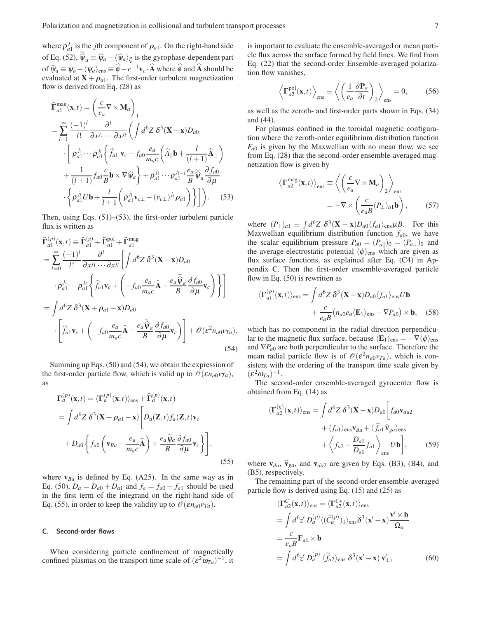where  $\rho_a^j$  $a_1$  is the *j*th component of  $\rho_{a_1}$ . On the right-hand side of Eq. (52),  $\hat{\psi}_a \equiv \hat{\psi}_a - \langle \hat{\psi}_a \rangle_{\xi}$  is the gyrophase-dependent part of  $\hat{\psi}_a = \psi_a - \langle \psi_a \rangle_{\text{ens}} \equiv \hat{\phi} - c^{-1}v_c \cdot \hat{A}$  where  $\hat{\phi}$  and  $\hat{A}$  should be evaluated at  $X + \rho_{a1}$ . The first-order turbulent magnetization flow is derived from Eq. (28) as

$$
\hat{\mathbf{\Gamma}}_{a1}^{\text{mag}}(\mathbf{x},t) = \left(\frac{c}{e_a}\nabla \times \mathbf{M}_a\right)_1
$$
\n
$$
= \sum_{l=1}^{\infty} \frac{(-1)^l}{l!} \frac{\partial^l}{\partial x^{j_1} \cdots \partial x^{j_l}} \left(\int d^6 Z \,\delta^3 (\mathbf{X} - \mathbf{x}) D_{a0} \right)
$$
\n
$$
\cdot \left[\rho_{a1}^{j_1} \cdots \rho_{a1}^{j_l} \left\{\hat{f}_{a1} \mathbf{v}_c - f_{a0} \frac{e_a}{m_a c} \left(\hat{A}_{\parallel} \mathbf{b} + \frac{l}{(l+1)} \hat{A}_{\perp}\right) \right.\right.
$$
\n
$$
+ \frac{1}{(l+1)} f_{a0} \frac{c}{B} \mathbf{b} \times \nabla \hat{\psi}_a \right\} + \rho_{a1}^{j_1} \cdots \rho_{a1}^{j_{l-1}} \frac{e_a}{B} \hat{\psi}_a \frac{\partial f_{a0}}{\partial \mu}
$$
\n
$$
\cdot \left\{\rho_{a1}^{j_l} U \mathbf{b} + \frac{l}{l+1} \left(\rho_{a1}^{j_l} \mathbf{v}_{c\perp} - (\mathbf{v}_{c\perp})^{j_l} \rho_{a1}\right) \right\} \right]. \tag{53}
$$

Then, using Eqs. (51)–(53), the first-order turbulent particle flux is written as

$$
\begin{split}\n\widehat{\mathbf{\Gamma}}_{a1}^{(p)}(\mathbf{x},t) &\equiv \widehat{\mathbf{\Gamma}}_{a1}^{(g)} + \widehat{\mathbf{\Gamma}}_{a1}^{\text{pol}} + \widehat{\mathbf{\Gamma}}_{a1}^{\text{mag}} \\
&= \sum_{l=0}^{\infty} \frac{(-1)^l}{l!} \frac{\partial^l}{\partial x^{j_1} \cdots \partial x^{j_l}} \left[ \int d^6 z \, \delta^3 (\mathbf{X} - \mathbf{x}) D_{a0} \\
&\cdot \rho_{a1}^{j_1} \cdots \rho_{a1}^{j_l} \left\{ \widehat{f}_{a1} \mathbf{v}_c + \left( -f_{a0} \frac{e_a}{m_a c} \widehat{\mathbf{A}} + \frac{e_a \widetilde{\psi}_a}{B} \frac{\partial f_{a0}}{\partial \mu} \mathbf{v}_c \right) \right\} \right] \\
&= \int d^6 z \, \delta^3 (\mathbf{X} + \rho_{a1} - \mathbf{x}) D_{a0} \\
&\cdot \left[ \widehat{f}_{a1} \mathbf{v}_c + \left( -f_{a0} \frac{e_a}{m_a c} \widehat{\mathbf{A}} + \frac{e_a \widetilde{\psi}_a}{B} \frac{\partial f_{a0}}{\partial \mu} \mathbf{v}_c \right) \right] + \mathcal{O}(\varepsilon^2 n_{a0} v_{Ta}).\n\end{split} \tag{54}
$$

Summing up Eqs. (50) and (54), we obtain the expression of the first-order particle flow, which is valid up to  $\mathcal{O}(\varepsilon n_{a0}v_{Ta})$ , as

$$
\Gamma_a^{(p)}(\mathbf{x},t) = \langle \Gamma_a^{(p)}(\mathbf{x},t) \rangle_{\text{ens}} + \widehat{\Gamma}_a^{(p)}(\mathbf{x},t)
$$
  
=  $\int d^6 Z \, \delta^3(\mathbf{X} + \rho_{a1} - \mathbf{x}) \left[ D_a(\mathbf{Z},t) f_a(\mathbf{Z},t) \mathbf{v}_c + D_{a0} \left\{ f_{a0} \left( \mathbf{v}_{Ba} - \frac{e_a}{m_a c} \widehat{\mathbf{A}} \right) + \frac{e_a \widetilde{\psi}_a}{B} \frac{\partial f_{a0}}{\partial \mu} \mathbf{v}_c \right\} \right].$  (55)

where  $v_{Ba}$  is defined by Eq. (A25). In the same way as in Eq. (50),  $D_a = D_{a0} + D_{a1}$  and  $f_a = f_{a0} + f_{a1}$  should be used in the first term of the integrand on the right-hand side of Eq. (55), in order to keep the validity up to  $\mathcal{O}(\varepsilon n_{a0}v_{Ta})$ .

#### C. Second-order flows

When considering particle confinement of magnetically confined plasmas on the transport time scale of  $(\varepsilon^2 \omega_{Ta})^{-1}$ , it is important to evaluate the ensemble-averaged or mean particle flux across the surface formed by field lines. We find from Eq. (22) that the second-order Ensemble-averaged polarization flow vanishes,

$$
\left\langle \mathbf{T}_{a2}^{\text{pol}}(\mathbf{x},t) \right\rangle_{\text{ens}} \equiv \left\langle \left( \frac{1}{e_a} \frac{\partial \mathbf{P}_a}{\partial t} \right)_2 \right\rangle_{\text{ens}} = 0, \quad (56)
$$

as well as the zeroth- and first-order parts shown in Eqs. (34) and (44).

For plasmas confined in the toroidal magnetic configuration where the zeroth-order equilibrium distribution function  $F_{a0}$  is given by the Maxwellian with no mean flow, we see from Eq. (28) that the second-order ensemble-averaged magnetization flow is given by

$$
\langle \mathbf{\Gamma}_{a2}^{\text{mag}}(\mathbf{x},t) \rangle_{\text{ens}} \equiv \left\langle \left( \frac{c}{e_a} \nabla \times \mathbf{M}_a \right)_2 \right\rangle_{\text{ens}}
$$

$$
= -\nabla \times \left( \frac{c}{e_a B} (P_\perp)_{a1} \mathbf{b} \right), \qquad (57)
$$

where  $(P_{\perp})_{a1} \equiv \int d^6 Z \ \delta^3 (\mathbf{X} - \mathbf{x}) D_{a0} \langle f_{a1} \rangle_{\text{ens}} \mu B$ . For this Maxwellian equilibrium distribution function  $f_{a0}$ , we have the scalar equilibrium pressure  $P_{a0} = (P_{a||})_0 = (P_{a\perp})_0$  and the average electrostatic potential  $\langle \phi \rangle_{\text{ens}}$  which are given as flux surface functions, as explained after Eq. (C4) in Appendix C. Then the first-order ensemble-averaged particle flow in Eq.  $(50)$  is rewritten as

$$
\langle \mathbf{\Gamma}_{a1}^{(p)}(\mathbf{x},t) \rangle_{\text{ens}} = \int d^6 Z \, \delta^3 (\mathbf{X} - \mathbf{x}) D_{a0} \langle f_{a1} \rangle_{\text{ens}} U \mathbf{b} + \frac{c}{e_a B} \left( n_{a0} e_a \langle \mathbf{E}_1 \rangle_{\text{ens}} - \nabla P_{a0} \right) \times \mathbf{b}, \quad (58)
$$

which has no component in the radial direction perpendicular to the magnetic flux surface, because  $\langle E_1 \rangle_{\text{ens}} = -\nabla \langle \phi \rangle_{\text{ens}}$ and ∇*Pa*<sup>0</sup> are both perpendicular to the surface. Therefore the mean radial particle flow is of  $\mathcal{O}(\varepsilon^2 n_{a0}v_{Ta})$ , which is consistent with the ordering of the transport time scale given by  $(\varepsilon^2 \omega_{Ta})^{-1}$ .

The second-order ensemble-averaged gyrocenter flow is obtained from Eq. (14) as

$$
\langle \Gamma_{a2}^{(g)}(\mathbf{x},t) \rangle_{\text{ens}} = \int d^6 Z \, \delta^3 (\mathbf{X} - \mathbf{x}) D_{a0} \left[ f_{a0} \mathbf{v}_{da2} + \langle f_{a1} \rangle_{\text{ens}} \mathbf{v}_{da} + \langle \hat{f}_{a1} \hat{\mathbf{v}}_{ga} \rangle_{\text{ens}} + \langle f_{a2} + \frac{D_{a1}}{D_{a0}} f_{a1} \rangle_{\text{ens}} \, U \mathbf{b} \right], \tag{59}
$$

where  $\mathbf{v}_{da}$ ,  $\hat{\mathbf{v}}_{ga}$ , and  $\mathbf{v}_{da2}$  are given by Eqs. (B3), (B4), and (B5), respectively.

The remaining part of the second-order ensemble-averaged particle flow is derived using Eq. (15) and (25) as

$$
\langle \Gamma_{a2}^{C}(\mathbf{x},t) \rangle_{\text{ens}} = \langle \Gamma_{a2}^{C*}(\mathbf{x},t) \rangle_{\text{ens}}
$$
  
\n
$$
= \int d^{6}z' D_{a}^{(p)} \langle (\widetilde{C}_{a}^{(p)})_{1} \rangle_{\text{ens}} \delta^{3}(\mathbf{x}' - \mathbf{x}) \frac{\mathbf{v}' \times \mathbf{b}}{\Omega_{a}}
$$
  
\n
$$
= \frac{c}{e_{a}B} \mathbf{F}_{a1} \times \mathbf{b}
$$
  
\n
$$
= \int d^{6}z' D_{a}^{(p)} \langle \widetilde{f}_{a2} \rangle_{\text{ens}} \delta^{3}(\mathbf{x}' - \mathbf{x}) \mathbf{v}'_{\perp},
$$
 (60)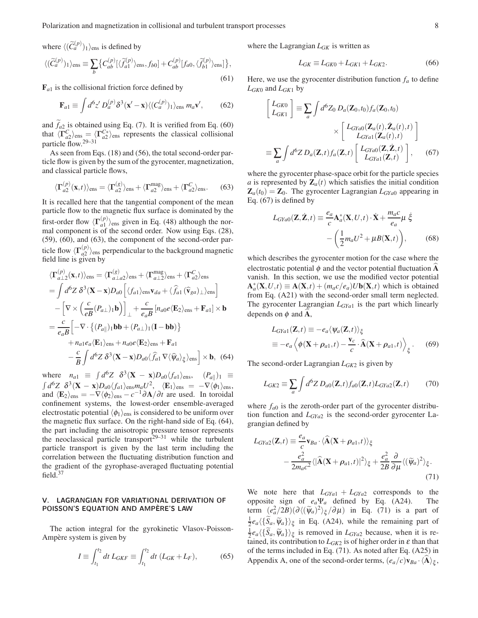Polarization and magnetization in collisional and turbulent transport processes 8

where  $\langle (\widetilde{C}_a^{(p)})_1 \rangle_{\text{ens}}$  is defined by  $\langle (\widetilde{C}_a^{(p)})_1 \rangle_{\text{ens}} \equiv \sum_b$  $\{C_{ab}^{(p)}[\langle \widetilde{f}_{a1}^{(p)}\rangle]$  $\{f_{a1}^{(p)}\}_{\text{ens}}, f_{b0}] + C_{ab}^{(p)}[f_{a0}, \langle \widetilde{f}_{b1}^{(p)} \rangle]$  $\left\{ \begin{matrix} p \\ b1 \end{matrix} \right\}$ ens] }, (61)

 $\mathbf{F}_{a1}$  is the collisional friction force defined by

$$
\mathbf{F}_{a1} \equiv \int d^6 z' D_a^{(p)} \delta^3(\mathbf{x}' - \mathbf{x}) \langle (C_a^{(p)})_1 \rangle_{\text{ens}} m_a \mathbf{v}',\tag{62}
$$

and  $f_{a2}$  is obtained using Eq. (7). It is verified from Eq. (60) that  $\langle \Gamma_{a2}^C \rangle_{\text{ens}} = \langle \Gamma_{a2}^{C*} \rangle_{\text{ens}}$  represents the classical collisional particle flow.29–31

As seen from Eqs. (18) and (56), the total second-order particle flow is given by the sum of the gyrocenter, magnetization, and classical particle flows,

$$
\langle \Gamma_{a2}^{(p)}(\mathbf{x},t) \rangle_{\text{ens}} = \langle \Gamma_{a2}^{(g)} \rangle_{\text{ens}} + \langle \Gamma_{a2}^{\text{mag}} \rangle_{\text{ens}} + \langle \Gamma_{a2}^{C} \rangle_{\text{ens}}. \tag{63}
$$

It is recalled here that the tangential component of the mean particle flow to the magnetic flux surface is dominated by the first-order flow  $\langle \Gamma_{a1}^{(p)} \rangle$  $\binom{p}{q}$ <sub>ens</sub> given in Eq. (48) although the normal component is of the second order. Now using Eqs. (28), (59), (60), and (63), the component of the second-order particle flow  $\langle \Gamma_{a2}^{(p)} \rangle$  $\binom{p}{q^2}$ <sub>ens</sub> perpendicular to the background magnetic field line is given by

$$
\langle \mathbf{\Gamma}_{a\perp 2}^{(p)}(\mathbf{x},t) \rangle_{\text{ens}} = \langle \mathbf{\Gamma}_{a\perp a2}^{(g)} \rangle_{\text{ens}} + \langle \mathbf{\Gamma}_{a\perp 2}^{mag} \rangle_{\text{ens}} + \langle \mathbf{\Gamma}_{a2}^{C} \rangle_{\text{ens}}
$$
  
\n
$$
= \int d^6 Z \, \delta^3 (\mathbf{X} - \mathbf{x}) D_{a0} \left[ \langle f_{a1} \rangle_{\text{ens}} \mathbf{v}_{da} + \langle f_{a1} (\hat{\mathbf{v}}_{ga})_{\perp} \rangle_{\text{ens}} \right]
$$
  
\n
$$
- \left[ \nabla \times \left( \frac{c}{eB} (P_{a\perp})_{1} \mathbf{b} \right) \right]_{\perp} + \frac{c}{e_a B} \left[ n_{a0} e \langle \mathbf{E}_2 \rangle_{\text{ens}} + \mathbf{F}_{a1} \right] \times \mathbf{b}
$$
  
\n
$$
= \frac{c}{e_a B} \left[ -\nabla \cdot \left\{ (P_{a\parallel})_{1} \mathbf{b} \mathbf{b} + (P_{a\perp})_{1} (\mathbf{I} - \mathbf{b} \mathbf{b}) \right\} + n_{a1} e_a \langle \mathbf{E}_1 \rangle_{\text{ens}} + n_{a0} e \langle \mathbf{E}_2 \rangle_{\text{ens}} + \mathbf{F}_{a1} - \frac{c}{B} \int d^6 Z \, \delta^3 (\mathbf{X} - \mathbf{x}) D_{a0} \langle f_{a1} \nabla \langle \hat{\psi}_a \rangle_{\xi} \rangle_{\text{ens}} \right] \times \mathbf{b}, \tag{64}
$$

where  $n_{a1} \equiv \int d^6 Z \, \delta^3 (\mathbf{X} - \mathbf{x}) D_{a0} \langle f_{a1} \rangle_{\text{ens}}, \quad (P_{a||})_1 \equiv$  $\int d^6 Z \, \delta^3({\bf X}-{\bf x}) D_{a0} \langle f_{a1}\rangle_{\rm ens} m_a U^2, \ \ \ \langle {\bf E}_1\rangle_{\rm ens}\ =\ -\nabla \langle \phi_1\rangle_{\rm ens},$ and  $\langle E_2 \rangle_{\text{ens}} = -\nabla \langle \phi_2 \rangle_{\text{ens}} - c^{-1} \partial \mathbf{A} / \partial t$  are used. In toroidal confinement systems, the lowest-order ensemble-averaged electrostatic potential  $\langle \phi_1 \rangle_{\text{ens}}$  is considered to be uniform over the magnetic flux surface. On the right-hand side of Eq. (64), the part including the anisotropic pressure tensor represents the neoclassical particle transport<sup>29–31</sup> while the turbulent particle transport is given by the last term including the correlation between the fluctuating distribution function and the gradient of the gyrophase-averaged fluctuating potential field.<sup>37</sup>

# V. LAGRANGIAN FOR VARIATIONAL DERIVATION OF POISSON'S EQUATION AND AMPÈRE'S LAW

The action integral for the gyrokinetic Vlasov-Poisson-Ampère system is given by

$$
I \equiv \int_{t_1}^{t_2} dt \, L_{GKF} \equiv \int_{t_1}^{t_2} dt \, (L_{GK} + L_F), \tag{65}
$$

where the Lagrangian *LGK* is written as

$$
L_{GK} \equiv L_{GK0} + L_{GK1} + L_{GK2}.
$$
 (66)

Here, we use the gyrocenter distribution function  $f_a$  to define  $L_{GK0}$  and  $L_{GK1}$  by

$$
\begin{bmatrix} L_{GK0} \\ L_{GK1} \end{bmatrix} \equiv \sum_{a} \int d^{6}Z_{0} D_{a}(\mathbf{Z}_{0}, t_{0}) f_{a}(\mathbf{Z}_{0}, t_{0}) \times \begin{bmatrix} L_{GYa0}(\mathbf{Z}_{a}(t), \dot{\mathbf{Z}}_{a}(t), t) \\ L_{GYa1}(\mathbf{Z}_{a}(t), t) \end{bmatrix}
$$

$$
\equiv \sum_{a} \int d^{6}Z D_{a}(\mathbf{Z}, t) f_{a}(\mathbf{Z}, t) \begin{bmatrix} L_{GYa0}(\mathbf{Z}, \dot{\mathbf{Z}}, t) \\ L_{GYa1}(\mathbf{Z}, t) \end{bmatrix}, \quad (67)
$$

where the gyrocenter phase-space orbit for the particle species *a* is represented by  $\mathbf{Z}_a(t)$  which satisfies the initial condition  $\mathbf{Z}_a(t_0) = \mathbf{Z}_0$ . The gyrocenter Lagrangian  $L_{\text{GY}_a}$  appearing in Eq. (67) is defined by

$$
L_{GYa0}(\mathbf{Z}, \dot{\mathbf{Z}}, t) \equiv \frac{e_a}{c} \mathbf{A}_a^*(\mathbf{X}, U, t) \cdot \dot{\mathbf{X}} + \frac{m_a c}{e_a} \mu \dot{\xi}
$$

$$
- \left(\frac{1}{2} m_a U^2 + \mu B(\mathbf{X}, t)\right), \qquad (68)
$$

which describes the gyrocenter motion for the case where the electrostatic potential  $\phi$  and the vector potential fluctuation **A** vanish. In this section, we use the modified vector potential  $\mathbf{A}_a^*(\mathbf{X}, U, t) \equiv \mathbf{A}(\mathbf{X}, t) + (m_a c/e_a) U \mathbf{b}(\mathbf{X}, t)$  which is obtained from Eq. (A21) with the second-order small term neglected. The gyrocenter Lagrangian *LGYa*<sup>1</sup> is the part which linearly depends on  $\phi$  and **A**,

$$
L_{GYa1}(\mathbf{Z},t) \equiv -e_a \langle \Psi_a(\mathbf{Z},t) \rangle_{\xi}
$$
  

$$
\equiv -e_a \langle \phi(\mathbf{X} + \rho_{a1},t) - \frac{\mathbf{v}_c}{c} \cdot \hat{\mathbf{A}}(\mathbf{X} + \rho_{a1},t) \rangle_{\xi}.
$$
 (69)

The second-order Lagrangian *LGK*<sup>2</sup> is given by

$$
L_{GK2} \equiv \sum_{a} \int d^{6}Z \, D_{a0}(\mathbf{Z}, t) f_{a0}(\mathbf{Z}, t) L_{GYa2}(\mathbf{Z}, t) \tag{70}
$$

where  $f_{a0}$  is the zeroth-order part of the gyrocenter distribution function and *LGYa*<sup>2</sup> is the second-order gyrocenter Lagrangian defined by

$$
L_{GYa2}(\mathbf{Z},t) \equiv \frac{e_a}{c} \mathbf{v}_{Ba} \cdot \langle \widehat{\mathbf{A}}(\mathbf{X} + \boldsymbol{\rho}_{a1},t) \rangle_{\xi}
$$
  
 
$$
- \frac{e_a^2}{2m_a c^2} \langle |\widehat{\mathbf{A}}(\mathbf{X} + \boldsymbol{\rho}_{a1},t)|^2 \rangle_{\xi} + \frac{e_a^2}{2B} \frac{\partial}{\partial \mu} \langle (\widetilde{\psi}_a)^2 \rangle_{\xi}.
$$
(71)

We note here that  $L_{GYa1} + L_{GYa2}$  corresponds to the opposite sign of *ea*Ψ*<sup>a</sup>* defined by Eq. (A24). The term  $(e_a^2/2B)(\partial \langle (\widetilde{\psi}_a)^2 \rangle_{\xi}/\partial \mu)$  in Eq. (71) is a part of  $\frac{1}{2}e_a\langle {\{\tilde{S}_a, \tilde{\psi}_a\}}\rangle_{\xi}$  in Eq. (A24), while the remaining part of  $\frac{1}{2}e_a\langle {\tilde{S}_a, \tilde{\psi}_a} \rangle_{\xi}$  is removed in *L<sub>GYa2</sub>* because, when it is retained, its contribution to  $L_{GK2}$  is of higher order in  $\varepsilon$  than that of the terms included in Eq. (71). As noted after Eq. (A25) in Appendix A, one of the second-order terms,  $(e_a/c) \mathbf{v}_{Ba} \cdot \langle \mathbf{A} \rangle_{\xi}$ ,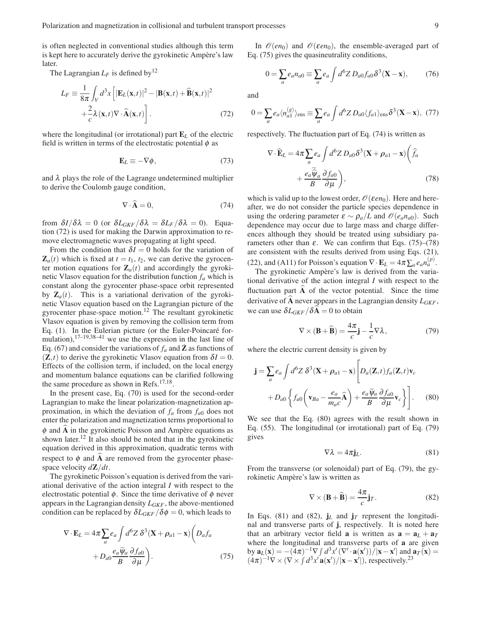is often neglected in conventional studies although this term is kept here to accurately derive the gyrokinetic Ampère's law later.

The Lagrangian  $L_F$  is defined by<sup>12</sup>

$$
L_F \equiv \frac{1}{8\pi} \int_V d^3x \left[ |\mathbf{E}_L(\mathbf{x},t)|^2 - |\mathbf{B}(\mathbf{x},t) + \mathbf{\hat{B}}(\mathbf{x},t)|^2 + \frac{2}{c} \lambda(\mathbf{x},t) \nabla \cdot \mathbf{\hat{A}}(\mathbf{x},t) \right].
$$
 (72)

where the longitudinal (or irrotational) part E*<sup>L</sup>* of the electric field is written in terms of the electrostatic potential  $\phi$  as

$$
\mathbf{E}_L \equiv -\nabla \phi,\tag{73}
$$

and  $\lambda$  plays the role of the Lagrange undetermined multiplier to derive the Coulomb gauge condition,

$$
\nabla \cdot \widehat{\mathbf{A}} = 0,\tag{74}
$$

from  $\delta I/\delta \lambda = 0$  (or  $\delta L_{GKF}/\delta \lambda = \delta L_F/\delta \lambda = 0$ ). Equation (72) is used for making the Darwin approximation to remove electromagnetic waves propagating at light speed.

From the condition that  $\delta I = 0$  holds for the variation of  $\mathbf{Z}_a(t)$  which is fixed at  $t = t_1, t_2$ , we can derive the gyrocenter motion equations for  $\mathbf{Z}_a(t)$  and accordingly the gyrokinetic Vlasov equation for the distribution function *f<sup>a</sup>* which is constant along the gyrocenter phase-space orbit represented by  $\mathbf{Z}_a(t)$ . This is a variational derivation of the gyrokinetic Vlasov equation based on the Lagrangian picture of the gyrocenter phase-space motion.<sup>12</sup> The resultant gyrokinetic Vlasov equation is given by removing the collision term from Eq. (1). In the Eulerian picture (or the Euler-Poincaré formulation),17–19,38–41 we use the expression in the last line of Eq. (67) and consider the variations of  $f_a$  and  $\bar{Z}$  as functions of  $(Z,t)$  to derive the gyrokinetic Vlasov equation from  $\delta I = 0$ . Effects of the collision term, if included, on the local energy and momentum balance equations can be clarified following the same procedure as shown in Refs.<sup>17,18</sup>.

In the present case, Eq. (70) is used for the second-order Lagrangian to make the linear polarization-magnetization approximation, in which the deviation of  $f_a$  from  $f_{a0}$  does not enter the polarization and magnetization terms proportional to  $\phi$  and  $\widehat{A}$  in the gyrokinetic Poisson and Ampère equations as shown later.<sup>12</sup> It also should be noted that in the gyrokinetic equation derived in this approximation, quadratic terms with respect to  $\phi$  and  $\overrightarrow{A}$  are removed from the gyrocenter phasespace velocity *d*Z/*dt*.

The gyrokinetic Poisson's equation is derived from the variational derivative of the action integral *I* with respect to the electrostatic potential  $\phi$ . Since the time derivative of  $\phi$  never appears in the Lagrangian density *LGKF* , the above-mentioned condition can be replaced by  $\delta L_{GKF}/\delta \phi = 0$ , which leads to

$$
\nabla \cdot \mathbf{E}_L = 4\pi \sum_a e_a \int d^6 Z \, \delta^3 (\mathbf{X} + \boldsymbol{\rho}_{a1} - \mathbf{x}) \left( D_a f_a + D_{a0} \frac{e_a \widetilde{\psi}_a}{B} \frac{\partial f_{a0}}{\partial \mu} \right).
$$
 (75)

In  $\mathcal{O}(en_0)$  and  $\mathcal{O}(\varepsilon en_0)$ , the ensemble-averaged part of Eq. (75) gives the quasineutrality conditions,

$$
0 = \sum_{a} e_a n_{a0} \equiv \sum_{a} e_a \int d^6 Z D_{a0} f_{a0} \delta^3(\mathbf{X} - \mathbf{x}), \tag{76}
$$

and

$$
0 = \sum_{a} e_a \langle n_{a1}^{(g)} \rangle_{\text{ens}} \equiv \sum_{a} e_a \int d^6 Z \, D_{a0} \langle f_{a1} \rangle_{\text{ens}} \delta^3(\mathbf{X} - \mathbf{x}), \tag{77}
$$

respectively. The fluctuation part of Eq. (74) is written as

$$
\nabla \cdot \widehat{\mathbf{E}}_{L} = 4\pi \sum_{a} e_{a} \int d^{6}Z \, D_{a0} \delta^{3} (\mathbf{X} + \boldsymbol{\rho}_{a1} - \mathbf{x}) \left( \widehat{f}_{a} + \frac{e_{a} \widetilde{\boldsymbol{\psi}}_{a}}{B} \frac{\partial f_{a0}}{\partial \mu} \right), \tag{78}
$$

which is valid up to the lowest order,  $\mathcal{O}(\varepsilon en_0)$ . Here and hereafter, we do not consider the particle species dependence in using the ordering parameter  $\varepsilon \sim \rho_a/L$  and  $\mathcal{O}(e_a n_{a0})$ . Such dependence may occur due to large mass and charge differences although they should be treated using subsidiary parameters other than  $\varepsilon$ . We can confirm that Eqs. (75)–(78) are consistent with the results derived from using Eqs. (21), (22), and (A11) for Poisson's equation  $\nabla \cdot \mathbf{E}_L = 4\pi \sum_a e_a n_a^{(p)}$ .

The gyrokinetic Ampère's law is derived from the variational derivative of the action integral *I* with respect to the fluctuation part  $A$  of the vector potential. Since the time derivative of  $\overline{A}$  never appears in the Lagrangian density  $L_{GKF}$ , we can use  $\delta L_{GKF}/\delta A = 0$  to obtain

$$
\nabla \times (\mathbf{B} + \widehat{\mathbf{B}}) = \frac{4\pi}{c}\mathbf{j} - \frac{1}{c}\nabla \lambda, \qquad (79)
$$

where the electric current density is given by

$$
\mathbf{j} = \sum_{a} e_a \int d^6 Z \, \delta^3 (\mathbf{X} + \rho_{a1} - \mathbf{x}) \left[ D_a(\mathbf{Z}, t) f_a(\mathbf{Z}, t) \mathbf{v}_c + D_{a0} \left\{ f_{a0} \left( \mathbf{v}_{Ba} - \frac{e_a}{m_a c} \hat{\mathbf{A}} \right) + \frac{e_a \widetilde{\psi}_a}{B} \frac{\partial f_{a0}}{\partial \mu} \mathbf{v}_c \right\} \right].
$$
 (80)

We see that the Eq. (80) agrees with the result shown in Eq. (55). The longitudinal (or irrotational) part of Eq. (79) gives

$$
\nabla \lambda = 4\pi \mathbf{j}_L. \tag{81}
$$

From the transverse (or solenoidal) part of Eq. (79), the gyrokinetic Ampère's law is written as

$$
\nabla \times (\mathbf{B} + \widehat{\mathbf{B}}) = \frac{4\pi}{c} \mathbf{j}_T.
$$
 (82)

In Eqs. (81) and (82),  $j_L$  and  $j_T$  represent the longitudinal and transverse parts of j, respectively. It is noted here that an arbitrary vector field **a** is written as  $\mathbf{a} = \mathbf{a}_L + \mathbf{a}_T$ where the longitudinal and transverse parts of a are given by  $\mathbf{a}_L(\mathbf{x}) = -((4\pi)^{-1}\nabla \int d^3x' (\nabla' \cdot \mathbf{a}(\mathbf{x}')) / |\mathbf{x} - \mathbf{x}'|$  and  $\mathbf{a}_T(\mathbf{x}) =$  $(4\pi)^{-1}\nabla \times (\nabla \times \int d^3x' \mathbf{a}(\mathbf{x}')/|\mathbf{x}-\mathbf{x}'|)$ , respectively.<sup>23</sup>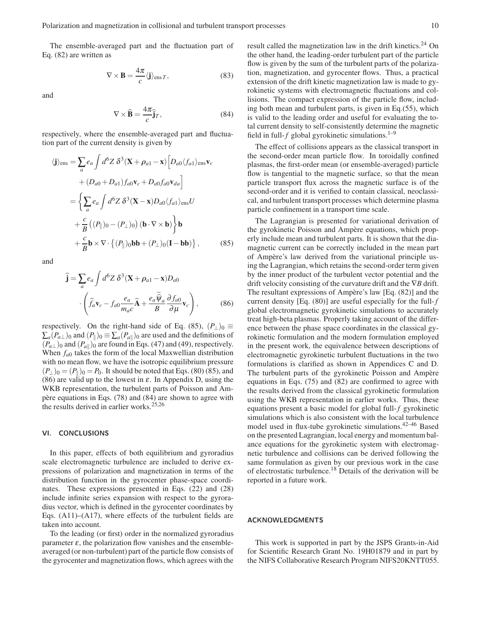The ensemble-averaged part and the fluctuation part of Eq. (82) are written as

$$
\nabla \times \mathbf{B} = \frac{4\pi}{c} \langle \mathbf{j} \rangle_{\text{ens } T},\tag{83}
$$

and

$$
\nabla \times \widehat{\mathbf{B}} = \frac{4\pi}{c} \hat{\mathbf{j}}_T,\tag{84}
$$

respectively, where the ensemble-averaged part and fluctuation part of the current density is given by

$$
\langle \mathbf{j} \rangle_{\text{ens}} = \sum_{a} e_{a} \int d^{6}Z \, \delta^{3} (\mathbf{X} + \rho_{a1} - \mathbf{x}) \Big[ D_{a0} \langle f_{a1} \rangle_{\text{ens}} \mathbf{v}_{c} \n+ (D_{a0} + D_{a1}) f_{a0} \mathbf{v}_{c} + D_{a0} f_{a0} \mathbf{v}_{da} \Big] \n= \Big\{ \sum_{a} e_{a} \int d^{6}Z \, \delta^{3} (\mathbf{X} - \mathbf{x}) D_{a0} \langle f_{a1} \rangle_{\text{ens}} U \n+ \frac{c}{B} \left( (P_{\parallel})_{0} - (P_{\perp})_{0} \right) (\mathbf{b} \cdot \nabla \times \mathbf{b}) \Big\} \mathbf{b} \n+ \frac{c}{B} \mathbf{b} \times \nabla \cdot \{ (P_{\parallel})_{0} \mathbf{b} + (P_{\perp})_{0} (\mathbf{I} - \mathbf{b} \mathbf{b}) \}, \qquad (85)
$$

and

$$
\hat{\mathbf{j}} = \sum_{a} e_a \int d^6 Z \, \delta^3 (\mathbf{X} + \rho_{a1} - \mathbf{x}) D_{a0} \cdot \left( \hat{f}_a \mathbf{v}_c - f_{a0} \frac{e_a}{m_a c} \hat{\mathbf{A}} + \frac{e_a \hat{\psi}_a}{B} \frac{\partial f_{a0}}{\partial \mu} \mathbf{v}_c \right),
$$
\n(86)

respectively. On the right-hand side of Eq. (85),  $(P_{\perp})_0 \equiv$  $\sum_{a}(P_{a\perp})_0$  and  $(P_{\parallel})_0 \equiv \sum_{a}(P_{a\parallel})_0$  are used and the definitions of  $(P_{a\perp})_0$  and  $(P_{a\parallel})_0$  are found in Eqs. (47) and (49), respectively. When *fa*<sup>0</sup> takes the form of the local Maxwellian distribution with no mean flow, we have the isotropic equilibrium pressure  $(P_\perp)_0 = (P_\parallel)_0 = P_0$ . It should be noted that Eqs. (80) (85), and (86) are valid up to the lowest in  $\varepsilon$ . In Appendix D, using the WKB representation, the turbulent parts of Poisson and Ampère equations in Eqs. (78) and (84) are shown to agree with the results derived in earlier works.25,26

## VI. CONCLUSIONS

In this paper, effects of both equilibrium and gyroradius scale electromagnetic turbulence are included to derive expressions of polarization and magnetization in terms of the distribution function in the gyrocenter phase-space coordinates. These expressions presented in Eqs. (22) and (28) include infinite series expansion with respect to the gyroradius vector, which is defined in the gyrocenter coordinates by Eqs. (A11)–(A17), where effects of the turbulent fields are taken into account.

To the leading (or first) order in the normalized gyroradius parameter  $\varepsilon$ , the polarization flow vanishes and the ensembleaveraged (or non-turbulent) part of the particle flow consists of the gyrocenter and magnetization flows, which agrees with the result called the magnetization law in the drift kinetics.<sup>24</sup> On the other hand, the leading-order turbulent part of the particle flow is given by the sum of the turbulent parts of the polarization, magnetization, and gyrocenter flows. Thus, a practical extension of the drift kinetic magnetization law is made to gyrokinetic systems with electromagnetic fluctuations and collisions. The compact expression of the particle flow, including both mean and turbulent parts, is given in Eq.(55), which is valid to the leading order and useful for evaluating the total current density to self-consistently determine the magnetic field in full- $f$  global gyrokinetic simulations.<sup>1–9</sup>

The effect of collisions appears as the classical transport in the second-order mean particle flow. In toroidally confined plasmas, the first-order mean (or ensemble-averaged) particle flow is tangential to the magnetic surface, so that the mean particle transport flux across the magnetic surface is of the second-order and it is verified to contain classical, neoclassical, and turbulent transport processes which determine plasma particle confinement in a transport time scale.

The Lagrangian is presented for variational derivation of the gyrokinetic Poisson and Ampère equations, which properly include mean and turbulent parts. It is shown that the diamagnetic current can be correctly included in the mean part of Ampère's law derived from the variational principle using the Lagrangian, which retains the second-order term given by the inner product of the turbulent vector potential and the drift velocity consisting of the curvature drift and the ∇*B* drift. The resultant expressions of Ampère's law [Eq. (82)] and the current density [Eq. (80)] are useful especially for the full-*f* global electromagnetic gyrokinetic simulations to accurately treat high-beta plasmas. Properly taking account of the difference between the phase space coordinates in the classical gyrokinetic formulation and the modern formulation employed in the present work, the equivalence between descriptions of electromagnetic gyrokinetic turbulent fluctuations in the two formulations is clarified as shown in Appendices C and D. The turbulent parts of the gyrokinetic Poisson and Ampère equations in Eqs. (75) and (82) are confirmed to agree with the results derived from the classical gyrokinetic formulation using the WKB representation in earlier works. Thus, these equations present a basic model for global full-*f* gyrokinetic simulations which is also consistent with the local turbulence model used in flux-tube gyrokinetic simulations.42–46 Based on the presented Lagrangian, local energy and momentum balance equations for the gyrokinetic system with electromagnetic turbulence and collisions can be derived following the same formulation as given by our previous work in the case of electrostatic turbulence.<sup>18</sup> Details of the derivation will be reported in a future work.

## ACKNOWLEDGMENTS

This work is supported in part by the JSPS Grants-in-Aid for Scientific Research Grant No. 19H01879 and in part by the NIFS Collaborative Research Program NIFS20KNTT055.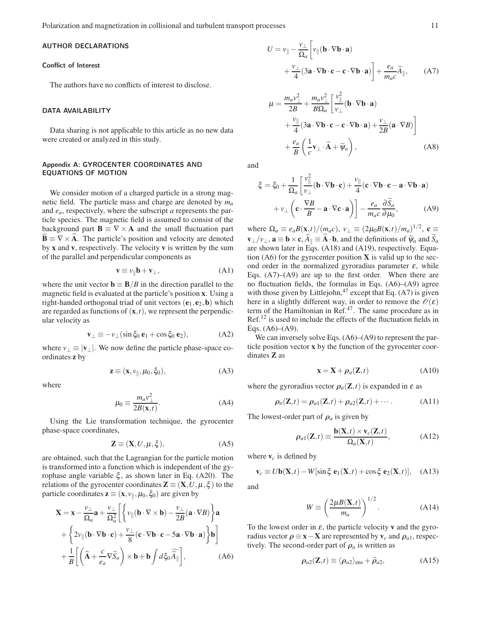Polarization and magnetization in collisional and turbulent transport processes 11

# AUTHOR DECLARATIONS

#### Conflict of Interest

The authors have no conflicts of interest to disclose.

#### DATA AVAILABILITY

Data sharing is not applicable to this article as no new data were created or analyzed in this study.

# Appendix A: GYROCENTER COORDINATES AND EQUATIONS OF MOTION

We consider motion of a charged particle in a strong magnetic field. The particle mass and charge are denoted by *m<sup>a</sup>* and *ea*, respectively, where the subscript *a* represents the particle species. The magnetic field is assumed to consist of the background part  $\mathbf{B} \equiv \nabla \times \mathbf{A}$  and the small fluctuation part  $\mathbf{B} \equiv \nabla \times \mathbf{A}$ . The particle's position and velocity are denoted by x and v, respectively. The velocity v is written by the sum of the parallel and perpendicular components as

$$
\mathbf{v} \equiv v_{\parallel} \mathbf{b} + \mathbf{v}_{\perp}, \tag{A1}
$$

where the unit vector  $\mathbf{b} \equiv \mathbf{B}/B$  in the direction parallel to the magnetic field is evaluated at the particle's position x. Using a right-handed orthogonal triad of unit vectors  $(e_1, e_2, b)$  which are regarded as functions of  $(x,t)$ , we represent the perpendicular velocity as

$$
\mathbf{v}_{\perp} \equiv -v_{\perp} (\sin \xi_0 \, \mathbf{e}_1 + \cos \xi_0 \, \mathbf{e}_2), \tag{A2}
$$

where  $v_{\perp} \equiv |\mathbf{v}_{\perp}|$ . We now define the particle phase-space coordinates z by

$$
\mathbf{z} \equiv (\mathbf{x}, \nu_{\parallel}, \mu_0, \xi_0), \tag{A3}
$$

where

$$
\mu_0 \equiv \frac{m_a v_\perp^2}{2B(\mathbf{x},t)}.\tag{A4}
$$

Using the Lie transformation technique, the gyrocenter phase-space coordinates,

$$
\mathbf{Z} \equiv (\mathbf{X}, U, \mu, \xi), \tag{A5}
$$

are obtained, such that the Lagrangian for the particle motion is transformed into a function which is independent of the gyrophase angle variable ξ, as shown later in Eq. (A20). The relations of the gyrocenter coordinates  $\mathbf{Z} \equiv (\mathbf{X}, U, \mu, \xi)$  to the particle coordinates  $\mathbf{z} \equiv (\mathbf{x}, v_{\parallel}, \mu_0, \xi_0)$  are given by

$$
\mathbf{X} = \mathbf{x} - \frac{v_{\perp}}{\Omega_a} \mathbf{a} + \frac{v_{\perp}}{\Omega_a^2} \left[ \left\{ v_{\parallel} (\mathbf{b} \cdot \nabla \times \mathbf{b}) - \frac{v_{\perp}}{2B} (\mathbf{a} \cdot \nabla B) \right\} \mathbf{a} + \left\{ 2v_{\parallel} (\mathbf{b} \cdot \nabla \mathbf{b} \cdot \mathbf{c}) + \frac{v_{\perp}}{8} (\mathbf{c} \cdot \nabla \mathbf{b} \cdot \mathbf{c} - 5 \mathbf{a} \cdot \nabla \mathbf{b} \cdot \mathbf{a}) \right\} \mathbf{b} \right] + \frac{1}{B} \left[ \left( \hat{\mathbf{A}} + \frac{c}{e_a} \nabla \tilde{S}_a \right) \times \mathbf{b} + \mathbf{b} \int d \xi_0 \, \widehat{\hat{A}}_{\parallel} \right],
$$
 (A6)

$$
U = v_{\parallel} - \frac{v_{\perp}}{\Omega_a} \left[ v_{\parallel} (\mathbf{b} \cdot \nabla \mathbf{b} \cdot \mathbf{a}) + \frac{v_{\perp}}{4} (3\mathbf{a} \cdot \nabla \mathbf{b} \cdot \mathbf{c} - \mathbf{c} \cdot \nabla \mathbf{b} \cdot \mathbf{a}) \right] + \frac{e_a}{m_a c} \hat{A}_{\parallel}, \quad (A7)
$$

$$
\mu = \frac{m_a v_\perp^2}{2B} + \frac{m_a v_\perp^2}{B\Omega_a} \left[ \frac{v_\parallel^2}{v_\perp} (\mathbf{b} \cdot \nabla \mathbf{b} \cdot \mathbf{a}) + \frac{v_\parallel}{4} (3\mathbf{a} \cdot \nabla \mathbf{b} \cdot \mathbf{c} - \mathbf{c} \cdot \nabla \mathbf{b} \cdot \mathbf{a}) + \frac{v_\perp}{2B} (\mathbf{a} \cdot \nabla B) \right] + \frac{e_a}{B} \left( \frac{1}{c} \mathbf{v}_\perp \cdot \hat{\mathbf{A}} + \widetilde{\psi}_a \right),
$$
\n(A8)

and

$$
\xi = \xi_0 + \frac{1}{\Omega_a} \left[ \frac{v_{\parallel}^2}{v_{\perp}} (\mathbf{b} \cdot \nabla \mathbf{b} \cdot \mathbf{c}) + \frac{v_{\parallel}}{4} (\mathbf{c} \cdot \nabla \mathbf{b} \cdot \mathbf{c} - \mathbf{a} \cdot \nabla \mathbf{b} \cdot \mathbf{a}) + v_{\perp} \left( \mathbf{c} \cdot \frac{\nabla B}{B} - \mathbf{a} \cdot \nabla \mathbf{c} \cdot \mathbf{a} \right) \right] - \frac{e_a}{m_a c} \frac{\partial \widetilde{S}_a}{\partial \mu_0}, \tag{A9}
$$

where  $\Omega_a \equiv e_a B(\mathbf{x},t)/(m_a c)$ ,  $v_{\perp} \equiv (2\mu_0 B(\mathbf{x},t)/m_a)^{1/2}$ ,  $\mathbf{c} \equiv$  $\mathbf{v}_{\perp}/v_{\perp}$ ,  $\mathbf{a} \equiv \mathbf{b} \times \mathbf{c}$ ,  $A_{\parallel} \equiv \mathbf{A} \cdot \mathbf{b}$ , and the definitions of  $\widetilde{\psi}_a$  and  $S_a$ are shown later in Eqs. (A18) and (A19), respectively. Equation  $(A6)$  for the gyrocenter position **X** is valid up to the second order in the normalized gyroradius parameter  $\varepsilon$ , while Eqs.  $(A7)$ – $(A9)$  are up to the first order. When there are no fluctuation fields, the formulas in Eqs. (A6)–(A9) agree with those given by Littlejohn, $47$  except that Eq. (A7) is given here in a slightly different way, in order to remove the  $\mathscr{O}(\varepsilon)$ term of the Hamiltonian in Ref.<sup>47</sup>. The same procedure as in Ref.<sup>12</sup> is used to include the effects of the fluctuation fields in Eqs.  $(A6)$ – $(A9)$ .

We can inversely solve Eqs.  $(A6)$ – $(A9)$  to represent the particle position vector x by the function of the gyrocenter coordinates Z as

$$
\mathbf{x} = \mathbf{X} + \rho_a(\mathbf{Z}, t) \tag{A10}
$$

where the gyroradius vector  $\rho_a(\mathbf{Z},t)$  is expanded in  $\varepsilon$  as

$$
\rho_a(\mathbf{Z},t) = \rho_{a1}(\mathbf{Z},t) + \rho_{a2}(\mathbf{Z},t) + \cdots.
$$
 (A11)

The lowest-order part of  $\rho_a$  is given by

$$
\rho_{a1}(\mathbf{Z},t) \equiv \frac{\mathbf{b}(\mathbf{X},t) \times \mathbf{v}_c(\mathbf{Z},t)}{\Omega_a(\mathbf{X},t)},
$$
\n(A12)

where  $v_c$  is defined by

$$
\mathbf{v}_c \equiv U\mathbf{b}(\mathbf{X},t) - W[\sin\xi\,\mathbf{e}_1(\mathbf{X},t) + \cos\xi\,\mathbf{e}_2(\mathbf{X},t)],\quad \text{(A13)}
$$

and

$$
W \equiv \left(\frac{2\mu B(\mathbf{X},t)}{m_a}\right)^{1/2}.\tag{A14}
$$

To the lowest order in  $\varepsilon$ , the particle velocity **v** and the gyroradius vector  $\rho \equiv \mathbf{x} - \mathbf{X}$  are represented by  $\mathbf{v}_c$  and  $\rho_{a1}$ , respectively. The second-order part of  $\rho_a$  is written as

$$
\rho_{a2}(\mathbf{Z},t) \equiv \langle \rho_{a2} \rangle_{\rm ens} + \widehat{\rho}_{a2}, \tag{A15}
$$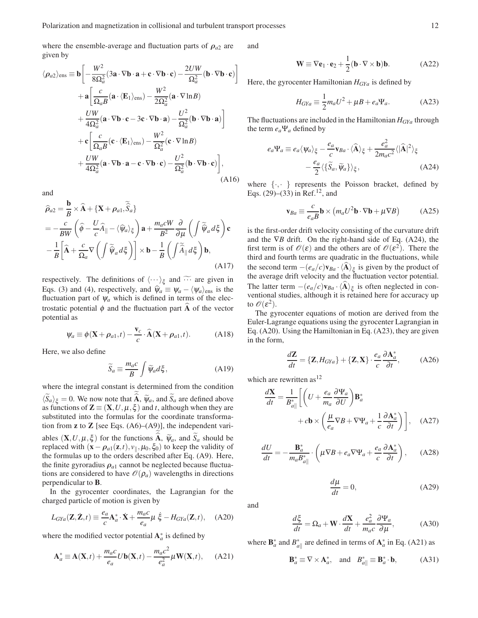where the ensemble-average and fluctuation parts of  $\rho_{a2}$  are given by

$$
\langle \rho_{a2} \rangle_{\text{ens}} \equiv \mathbf{b} \left[ -\frac{W^2}{8\Omega_a^2} (3\mathbf{a} \cdot \nabla \mathbf{b} \cdot \mathbf{a} + \mathbf{c} \cdot \nabla \mathbf{b} \cdot \mathbf{c}) - \frac{2UW}{\Omega_a^2} (\mathbf{b} \cdot \nabla \mathbf{b} \cdot \mathbf{c}) \right] + \mathbf{a} \left[ \frac{c}{\Omega_a B} (\mathbf{a} \cdot \langle \mathbf{E}_1 \rangle_{\text{ens}}) - \frac{W^2}{2\Omega_a^2} (\mathbf{a} \cdot \nabla \ln B) + \frac{UW}{4\Omega_a^2} (\mathbf{a} \cdot \nabla \mathbf{b} \cdot \mathbf{c} - 3\mathbf{c} \cdot \nabla \mathbf{b} \cdot \mathbf{a}) - \frac{U^2}{\Omega_a^2} (\mathbf{b} \cdot \nabla \mathbf{b} \cdot \mathbf{a}) \right] + \mathbf{c} \left[ \frac{c}{\Omega_a B} (\mathbf{c} \cdot \langle \mathbf{E}_1 \rangle_{\text{ens}}) - \frac{W^2}{\Omega_a^2} (\mathbf{c} \cdot \nabla \ln B) + \frac{UW}{4\Omega_a^2} (\mathbf{a} \cdot \nabla \mathbf{b} \cdot \mathbf{a} - \mathbf{c} \cdot \nabla \mathbf{b} \cdot \mathbf{c}) - \frac{U^2}{\Omega_a^2} (\mathbf{b} \cdot \nabla \mathbf{b} \cdot \mathbf{c}) \right],
$$
(A16)

and

$$
\widehat{\rho}_{a2} = \frac{\mathbf{b}}{B} \times \widehat{\mathbf{A}} + \{\mathbf{X} + \rho_{a1}, \widetilde{\hat{S}}_a\}
$$
\n
$$
= -\frac{c}{BW} \left( \widehat{\phi} - \frac{U}{c} \widehat{A}_{\parallel} - \langle \widehat{\psi}_a \rangle_{\xi} \right) \mathbf{a} + \frac{m_a c W}{B^2} \frac{\partial}{\partial \mu} \left( \int \widetilde{\psi}_a d\xi \right) \mathbf{c}
$$
\n
$$
- \frac{1}{B} \left[ \widehat{\mathbf{A}} + \frac{c}{\Omega_a} \nabla \left( \int \widetilde{\psi}_a d\xi \right) \right] \times \mathbf{b} - \frac{1}{B} \left( \int \widetilde{\widehat{A}}_{\parallel} d\xi \right) \mathbf{b},
$$
\n(A17)

respectively. The definitions of  $\langle \cdots \rangle_{\xi}$  and  $\cdots$  are given in Eqs. (3) and (4), respectively, and  $\hat{\psi}_a \equiv \psi_a - \langle \psi_a \rangle_{\text{ens}}$  is the fluctuation part of  $\psi_a$  which is defined in terms of the electrostatic potential  $\phi$  and the fluctuation part  $\widehat{A}$  of the vector potential as

$$
\Psi_a \equiv \phi(\mathbf{X} + \rho_{a1}, t) - \frac{\mathbf{v}_c}{c} \cdot \widehat{\mathbf{A}}(\mathbf{X} + \rho_{a1}, t). \tag{A18}
$$

Here, we also define

$$
\widetilde{S}_a \equiv \frac{m_a c}{B} \int \widetilde{\psi}_a d\xi, \tag{A19}
$$

where the integral constant is determined from the condition  $\langle S_a \rangle_{\xi} = 0$ . We now note that **A**,  $\widetilde{\psi}_a$ , and  $S_a$  are defined above as functions of  $\mathbf{Z} \equiv (\mathbf{X}, U, \mu, \xi)$  and *t*, although when they are substituted into the formulas for the coordinate transformation from **z** to **Z** [see Eqs.  $(A6)$ – $(A9)$ ], the independent variables  $(X, U, \mu, \xi)$  for the functions  $A, \widetilde{\psi}_a$ , and  $S_a$  should be replaced with  $(\mathbf{x} - \boldsymbol{\rho}_{a1}(\mathbf{z}, t), v_{\parallel}, \mu_0, \xi_0)$  to keep the validity of the formulas up to the orders described after Eq. (A9). Here, the finite gyroradius  $\rho_{a1}$  cannot be neglected because fluctuations are considered to have  $\mathcal{O}(\rho_a)$  wavelengths in directions perpendicular to B.

In the gyrocenter coordinates, the Lagrangian for the charged particle of motion is given by

$$
L_{GYa}(\mathbf{Z}, \dot{\mathbf{Z}}, t) \equiv \frac{e_a}{c} \mathbf{A}_a^* \cdot \dot{\mathbf{X}} + \frac{m_a c}{e_a} \mu \dot{\xi} - H_{GYa}(\mathbf{Z}, t), \quad \text{(A20)}
$$

where the modified vector potential  $A_a^*$  is defined by

$$
\mathbf{A}_a^* \equiv \mathbf{A}(\mathbf{X},t) + \frac{m_a c}{e_a} U \mathbf{b}(\mathbf{X},t) - \frac{m_a c^2}{e_a^2} \mu \mathbf{W}(\mathbf{X},t), \quad (A21)
$$

and

$$
\mathbf{W} \equiv \nabla \mathbf{e}_1 \cdot \mathbf{e}_2 + \frac{1}{2} (\mathbf{b} \cdot \nabla \times \mathbf{b}) \mathbf{b}.
$$
 (A22)

Here, the gyrocenter Hamiltonian *HGYa* is defined by

$$
H_{GYa} \equiv \frac{1}{2}m_a U^2 + \mu B + e_a \Psi_a.
$$
 (A23)

The fluctuations are included in the Hamiltonian *HGYa* through the term *ea*Ψ*<sup>a</sup>* defined by

$$
e_{a}\Psi_{a} \equiv e_{a}\langle \Psi_{a}\rangle_{\xi} - \frac{e_{a}}{c}\mathbf{v}_{Ba} \cdot \langle \widehat{\mathbf{A}}\rangle_{\xi} + \frac{e_{a}^{2}}{2m_{a}c^{2}}\langle |\widehat{\mathbf{A}}|^{2}\rangle_{\xi} - \frac{e_{a}}{2}\langle \{\widetilde{S}_{a}, \widetilde{\Psi}_{a}\}\rangle_{\xi}, \tag{A24}
$$

where  $\{\cdot, \cdot\}$  represents the Poisson bracket, defined by Eqs.  $(29)$ – $(33)$  in Ref.<sup>12</sup>, and

$$
\mathbf{v}_{Ba} \equiv \frac{c}{e_a B} \mathbf{b} \times \left( m_a U^2 \mathbf{b} \cdot \nabla \mathbf{b} + \mu \nabla B \right) \tag{A25}
$$

is the first-order drift velocity consisting of the curvature drift and the ∇*B* drift. On the right-hand side of Eq. (A24), the first term is of  $\mathscr{O}(\varepsilon)$  and the others are of  $\mathscr{O}(\varepsilon^2)$ . There the third and fourth terms are quadratic in the fluctuations, while the second term  $-(e_a/c)\mathbf{v}_{Ba} \cdot \langle \mathbf{A} \rangle_{\xi}$  is given by the product of the average drift velocity and the fluctuation vector potential. The latter term  $-(e_a/c)\mathbf{v}_{Ba} \cdot \langle \mathbf{A} \rangle_{\xi}$  is often neglected in conventional studies, although it is retained here for accuracy up to  $\mathscr{O}(\varepsilon^2)$ .

The gyrocenter equations of motion are derived from the Euler-Lagrange equations using the gyrocenter Lagrangian in Eq. (A20). Using the Hamiltonian in Eq. (A23), they are given in the form,

$$
\frac{d\mathbf{Z}}{dt} = \{\mathbf{Z}, H_{GYa}\} + \{\mathbf{Z}, \mathbf{X}\} \cdot \frac{e_a}{c} \frac{\partial \mathbf{A}_a^*}{\partial t},\tag{A26}
$$

which are rewritten as  $12$ 

$$
\frac{d\mathbf{X}}{dt} = \frac{1}{B_{a\parallel}^{*}} \left[ \left( U + \frac{e_a}{m_a} \frac{\partial \Psi_a}{\partial U} \right) \mathbf{B}_a^{*} + c \mathbf{b} \times \left( \frac{\mu}{e_a} \nabla B + \nabla \Psi_a + \frac{1}{c} \frac{\partial \mathbf{A}_a^{*}}{\partial t} \right) \right], \quad (A27)
$$

$$
\frac{dU}{dt} = -\frac{\mathbf{B}_a^*}{m_a B_{a\parallel}^*} \cdot \left(\mu \nabla B + e_a \nabla \Psi_a + \frac{e_a}{c} \frac{\partial \mathbf{A}_a^*}{\partial t}\right), \quad (A28)
$$

$$
\frac{d\mu}{dt} = 0,\t(A29)
$$

and

$$
\frac{d\xi}{dt} = \Omega_a + \mathbf{W} \cdot \frac{d\mathbf{X}}{dt} + \frac{e_a^2}{m_a c} \frac{\partial \Psi_a}{\partial \mu},\tag{A30}
$$

where  $\mathbf{B}_{a}^{*}$  and  $B_{a\parallel}^{*}$  are defined in terms of  $\mathbf{A}_{a}^{*}$  in Eq. (A21) as

$$
\mathbf{B}_a^* \equiv \nabla \times \mathbf{A}_a^*, \quad \text{and} \quad B_a^* \equiv \mathbf{B}_a^* \cdot \mathbf{b}, \tag{A31}
$$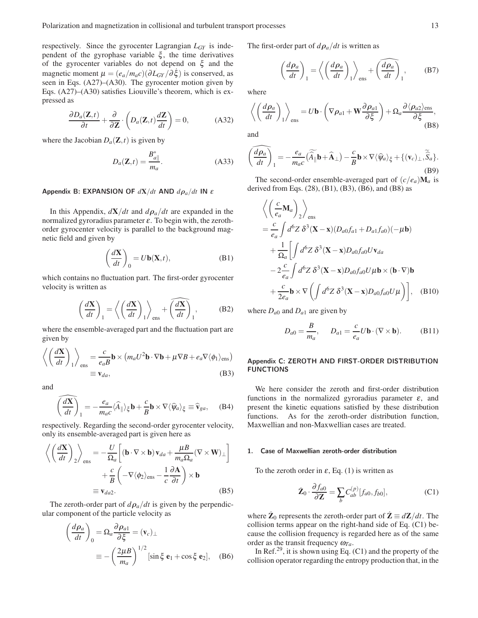respectively. Since the gyrocenter Lagrangian *LGY* is independent of the gyrophase variable  $\xi$ , the time derivatives of the gyrocenter variables do not depend on ξ and the magnetic moment  $\mu = (e_a/m_a c)(\partial L_{GY}/\partial \dot{\xi})$  is conserved, as seen in Eqs. (A27)–(A30). The gyrocenter motion given by Eqs. (A27)–(A30) satisfies Liouville's theorem, which is expressed as

$$
\frac{\partial D_a(\mathbf{Z},t)}{\partial t} + \frac{\partial}{\partial \mathbf{Z}} \cdot \left( D_a(\mathbf{Z},t) \frac{d\mathbf{Z}}{dt} \right) = 0, \tag{A32}
$$

where the Jacobian  $D_a(\mathbf{Z}, t)$  is given by

$$
D_a(\mathbf{Z},t) = \frac{B_{a\parallel}^*}{m_a}.
$$
 (A33)

## Appendix B: EXPANSION OF *d*X/*dt* AND *d*ρ*a*/*dt* IN <sup>ε</sup>

In this Appendix,  $dX/dt$  and  $d\rho_a/dt$  are expanded in the normalized gyroradius parameter  $\varepsilon$ . To begin with, the zerothorder gyrocenter velocity is parallel to the background magnetic field and given by

$$
\left(\frac{d\mathbf{X}}{dt}\right)_0 = U\mathbf{b}(\mathbf{X},t),\tag{B1}
$$

which contains no fluctuation part. The first-order gyrocenter velocity is written as

$$
\left(\frac{d\mathbf{X}}{dt}\right)_1 = \left\langle \left(\frac{d\mathbf{X}}{dt}\right)_1 \right\rangle_{\text{ens}} + \left(\frac{d\mathbf{X}}{dt}\right)_1, \tag{B2}
$$

where the ensemble-averaged part and the fluctuation part are given by

$$
\left\langle \left(\frac{d\mathbf{X}}{dt}\right)_1 \right\rangle_{\text{ens}} = \frac{c}{e_a B} \mathbf{b} \times \left( m_a U^2 \mathbf{b} \cdot \nabla \mathbf{b} + \mu \nabla B + e_a \nabla \langle \phi_1 \rangle_{\text{ens}} \right)
$$
  

$$
\equiv \mathbf{v}_{da},
$$
 (B3)

and

$$
\widehat{\left(\frac{d\mathbf{X}}{dt}\right)}_1 = -\frac{e_a}{m_a c} \langle \widehat{A}_{\parallel} \rangle_{\xi} \mathbf{b} + \frac{c}{B} \mathbf{b} \times \nabla \langle \widehat{\psi}_a \rangle_{\xi} \equiv \widehat{\mathbf{v}}_{ga}, \quad (B4)
$$

respectively. Regarding the second-order gyrocenter velocity, only its ensemble-averaged part is given here as

$$
\left\langle \left( \frac{d\mathbf{X}}{dt} \right)_2 \right\rangle_{\text{ens}} = -\frac{U}{\Omega_a} \left[ (\mathbf{b} \cdot \nabla \times \mathbf{b}) \mathbf{v}_{da} + \frac{\mu}{m_a \Omega_a} (\nabla \times \mathbf{W})_\perp \right] + \frac{c}{B} \left( -\nabla \langle \phi_2 \rangle_{\text{ens}} - \frac{1}{c} \frac{\partial \mathbf{A}}{\partial t} \right) \times \mathbf{b} = \mathbf{v}_{da2}.
$$
 (B5)

The zeroth-order part of  $d\rho_a/dt$  is given by the perpendicular component of the particle velocity as

$$
\left(\frac{d\rho_a}{dt}\right)_0 = \Omega_a \frac{\partial \rho_{a1}}{\partial \xi} = (\mathbf{v}_c)_{\perp}
$$

$$
\equiv -\left(\frac{2\mu}{m_a}\right)^{1/2} [\sin \xi \mathbf{e}_1 + \cos \xi \mathbf{e}_2], \quad (B6)
$$

The first-order part of  $d\rho_a/dt$  is written as

$$
\left(\frac{d\rho_a}{dt}\right)_1 = \left\langle \left(\frac{d\rho_a}{dt}\right)_1 \right\rangle_{\text{ens}} + \left(\frac{\widehat{d\rho_a}}{dt}\right)_1, \quad \text{(B7)}
$$

where

$$
\left\langle \left(\frac{d\rho_a}{dt}\right)_1 \right\rangle_{\text{ens}} = U\mathbf{b} \cdot \left(\nabla \rho_{a1} + \mathbf{W} \frac{\partial \rho_{a1}}{\partial \xi}\right) + \Omega_a \frac{\partial \langle \rho_{a2} \rangle_{\text{ens}}}{\partial \xi},
$$
\n(B8)

and

*c*<sub>c</sub>

$$
\left(\frac{\widehat{d\rho_a}}{dt}\right)_1 = -\frac{e_a}{m_a c} \left(\widehat{\widehat{A}}_{\parallel} \mathbf{b} + \widehat{\mathbf{A}}_{\perp}\right) - \frac{c}{B} \mathbf{b} \times \nabla \langle \widehat{\psi}_a \rangle_{\xi} + \{(\mathbf{v}_c)_{\perp}, \widehat{\widehat{S}}_a\}.
$$
\n(B9)

The second-order ensemble-averaged part of  $(c/e_a)$ **M**<sub>*a*</sub> is derived from Eqs. (28), (B1), (B3), (B6), and (B8) as

$$
\left\langle \left(\frac{c}{e_a} \mathbf{M}_a\right)_2 \right\rangle_{\text{ens}}
$$
\n
$$
= \frac{c}{e_a} \int d^6 Z \, \delta^3 (\mathbf{X} - \mathbf{x}) (D_{a0} f_{a1} + D_{a1} f_{a0}) (-\mu \mathbf{b})
$$
\n
$$
+ \frac{1}{\Omega_a} \left[ \int d^6 Z \, \delta^3 (\mathbf{X} - \mathbf{x}) D_{a0} f_{a0} U \mathbf{v}_{da} \right.
$$
\n
$$
- 2 \frac{c}{e_a} \int d^6 Z \, \delta^3 (\mathbf{X} - \mathbf{x}) D_{a0} f_{a0} U \mu \mathbf{b} \times (\mathbf{b} \cdot \nabla) \mathbf{b}
$$
\n
$$
+ \frac{c}{2e_a} \mathbf{b} \times \nabla \left( \int d^6 Z \, \delta^3 (\mathbf{X} - \mathbf{x}) D_{a0} f_{a0} U \mu \right) \right], \quad (B10)
$$

where  $D_{a0}$  and  $D_{a1}$  are given by

$$
D_{a0} = \frac{B}{m_a}, \qquad D_{a1} = \frac{c}{e_a} U \mathbf{b} \cdot (\nabla \times \mathbf{b}). \tag{B11}
$$

## Appendix C: ZEROTH AND FIRST-ORDER DISTRIBUTION FUNCTIONS

We here consider the zeroth and first-order distribution functions in the normalized gyroradius parameter  $\varepsilon$ , and present the kinetic equations satisfied by these distribution functions. As for the zeroth-order distribution function, Maxwellian and non-Maxwellian cases are treated.

## 1. Case of Maxwellian zeroth-order distribution

To the zeroth order in  $\varepsilon$ , Eq. (1) is written as

$$
\dot{\mathbf{Z}}_0 \cdot \frac{\partial f_{a0}}{\partial \mathbf{Z}} = \sum_b C_{ab}^{(p)} [f_{a0}, f_{b0}], \tag{C1}
$$

where  $\dot{\mathbf{Z}}_0$  represents the zeroth-order part of  $\dot{\mathbf{Z}} \equiv d\mathbf{Z}/dt$ . The collision terms appear on the right-hand side of Eq. (C1) because the collision frequency is regarded here as of the same order as the transit frequency  $\omega_{Ta}$ .

In Ref.<sup>29</sup>, it is shown using Eq.  $(C1)$  and the property of the collision operator regarding the entropy production that, in the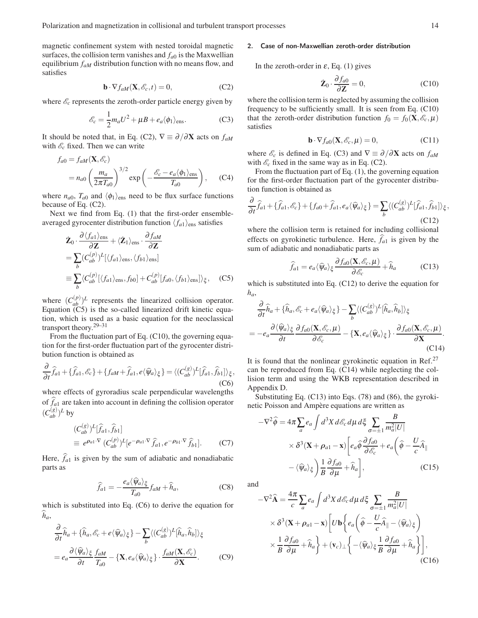magnetic confinement system with nested toroidal magnetic surfaces, the collision term vanishes and  $f_{a0}$  is the Maxwellian equilibrium *faM* distribution function with no means flow, and satisfies

$$
\mathbf{b} \cdot \nabla f_{aM}(\mathbf{X}, \mathcal{E}_c, t) = 0,\tag{C2}
$$

where  $\mathcal{E}_c$  represents the zeroth-order particle energy given by

$$
\mathcal{E}_c = \frac{1}{2} m_a U^2 + \mu B + e_a \langle \phi_1 \rangle_{\text{ens}}.
$$
 (C3)

It should be noted that, in Eq. (C2),  $\nabla \equiv \partial/\partial \mathbf{X}$  acts on  $f_{aM}$ with  $\mathcal{E}_c$  fixed. Then we can write

$$
f_{a0} = f_{aM}(\mathbf{X}, \mathscr{E}_c)
$$
  
=  $n_{a0} \left(\frac{m_a}{2\pi T_{a0}}\right)^{3/2} \exp\left(-\frac{\mathscr{E}_c - e_a \langle \phi_1 \rangle_{\text{ens}}}{T_{a0}}\right),$  (C4)

where  $n_{a0}$ ,  $T_{a0}$  and  $\langle \phi_1 \rangle_{\text{ens}}$  need to be flux surface functions because of Eq. (C2).

Next we find from Eq. (1) that the first-order ensembleaveraged gyrocenter distribution function  $\langle f_{a1} \rangle_{\text{ens}}$  satisfies

$$
\dot{\mathbf{Z}}_{0} \cdot \frac{\partial \langle f_{a1} \rangle_{\text{ens}}}{\partial \mathbf{Z}} + \langle \dot{\mathbf{Z}}_{1} \rangle_{\text{ens}} \cdot \frac{\partial f_{aM}}{\partial \mathbf{Z}}
$$
\n
$$
= \sum_{b} (C_{ab}^{(p)})^{L} [\langle f_{a1} \rangle_{\text{ens}}, \langle f_{b1} \rangle_{\text{ens}}]
$$
\n
$$
\equiv \sum_{b} \langle C_{ab}^{(p)} [\langle f_{a1} \rangle_{\text{ens}}, f_{b0}] + C_{ab}^{(p)} [f_{a0}, \langle f_{b1} \rangle_{\text{ens}}] \rangle_{\xi}, \quad (C5)
$$

where  $(C_{ab}^{(p)})^L$  represents the linearized collision operator. Equation (C5) is the so-called linearized drift kinetic equation, which is used as a basic equation for the neoclassical transport theory.29–31

From the fluctuation part of Eq. (C10), the governing equation for the first-order fluctuation part of the gyrocenter distribution function is obtained as

$$
\frac{\partial}{\partial t}\widehat{f}_{a1} + \{\widehat{f}_{a1}, \mathscr{E}_c\} + \{f_{aM} + \widehat{f}_{a1}, e\langle \widehat{\psi}_a \rangle_{\xi}\} = \langle (C_{ab}^{(g)})^L[\widehat{f}_{a1}, \widehat{f}_{b1}] \rangle_{\xi},
$$
\n(C6)

where effects of gyroradius scale perpendicular wavelengths of  $f_{a1}$  are taken into account in defining the collision operator  $(C_{ab}^{(g)})^L$  by

$$
(C_{ab}^{(g)})^L[\widehat{f}_{a1}, \widehat{f}_{b1}]
$$
  
\n
$$
\equiv e^{\rho_{a1} \cdot \nabla} (C_{ab}^{(p)})^L[e^{-\rho_{a1} \cdot \nabla} \widehat{f}_{a1}, e^{-\rho_{b1} \cdot \nabla} \widehat{f}_{b1}].
$$
 (C7)

Here,  $\hat{f}_a$ <sup>1</sup> is given by the sum of adiabatic and nonadiabatic parts as

$$
\widehat{f}_{a1} = -\frac{e_a \langle \widehat{\psi}_a \rangle_{\xi}}{T_{a0}} f_{aM} + \widehat{h}_a, \tag{C8}
$$

which is substituted into Eq. (C6) to derive the equation for  $h_a$ 

$$
\frac{\partial}{\partial t}\hat{h}_a + \{\hat{h}_a, \mathscr{E}_c + e \langle \hat{\psi}_a \rangle_{\xi}\} - \sum_b \langle (C_{ab}^{(g)})^L [\hat{h}_a, \hat{h}_b] \rangle_{\xi}
$$

$$
= e_a \frac{\partial \langle \hat{\psi}_a \rangle_{\xi}}{\partial t} \frac{f_{aM}}{T_{a0}} - \{ \mathbf{X}, e_a \langle \hat{\psi}_a \rangle_{\xi} \} \cdot \frac{f_{aM}(\mathbf{X}, \mathscr{E}_c)}{\partial \mathbf{X}}.
$$
(C9)

# 2. Case of non-Maxwellian zeroth-order distribution

In the zeroth-order in  $\varepsilon$ , Eq. (1) gives

$$
\dot{\mathbf{Z}}_0 \cdot \frac{\partial f_{a0}}{\partial \mathbf{Z}} = 0, \tag{C10}
$$

where the collision term is neglected by assuming the collision frequency to be sufficiently small. It is seen from Eq. (C10) that the zeroth-order distribution function  $f_0 = f_0(\mathbf{X}, \mathscr{E}_c, \mu)$ satisfies

$$
\mathbf{b} \cdot \nabla f_{a0}(\mathbf{X}, \mathscr{E}_c, \mu) = 0,\tag{C11}
$$

where  $\mathcal{E}_c$  is defined in Eq. (C3) and  $\nabla \equiv \partial/\partial \mathbf{X}$  acts on  $f_{aM}$ with  $\mathcal{E}_c$  fixed in the same way as in Eq. (C2).

From the fluctuation part of Eq. (1), the governing equation for the first-order fluctuation part of the gyrocenter distribution function is obtained as

$$
\frac{\partial}{\partial t}\widehat{f}_{a1} + \{\widehat{f}_{a1}, \mathscr{E}_c\} + \{f_{a0} + \widehat{f}_{a1}, e_a \langle \widehat{\psi}_a \rangle_{\xi}\} = \sum_b \langle (C_{ab}^{(g)})^L [\widehat{f}_{a1}, \widehat{f}_{b1}] \rangle_{\xi},
$$
\n(C12)

where the collision term is retained for including collisional effects on gyrokinetic turbulence. Here,  $\hat{f}_{a1}$  is given by the sum of adiabatic and nonadiabatic parts as

$$
\widehat{f}_{a1} = e_a \langle \widehat{\psi}_a \rangle_{\xi} \frac{\partial f_{a0}(\mathbf{X}, \mathscr{E}_c, \mu)}{\partial \mathscr{E}_c} + \widehat{h}_a \tag{C13}
$$

which is substituted into Eq. (C12) to derive the equation for *ha*,

$$
\frac{\partial}{\partial t}\hat{h}_a + \{\hat{h}_a, \mathscr{E}_c + e_a \langle \hat{\psi}_a \rangle_{\xi}\} - \sum_b \langle (C_{ab}^{(g)})^L [\hat{h}_a, \hat{h}_b] \rangle_{\xi}
$$
\n
$$
= -e_a \frac{\partial \langle \hat{\psi}_a \rangle_{\xi}}{\partial t} \frac{\partial f_{a0}(\mathbf{X}, \mathscr{E}_c, \mu)}{\partial \mathscr{E}_c} - \{\mathbf{X}, e_a \langle \hat{\psi}_a \rangle_{\xi}\} \cdot \frac{\partial f_{a0}(\mathbf{X}, \mathscr{E}_c, \mu)}{\partial \mathbf{X}}.
$$
\n(C14)

It is found that the nonlinear gyrokinetic equation in Ref.<sup>27</sup> can be reproduced from Eq. (C14) while neglecting the collision term and using the WKB representation described in Appendix D.

Substituting Eq. (C13) into Eqs. (78) and (86), the gyrokinetic Poisson and Ampère equations are written as

$$
-\nabla^2 \hat{\phi} = 4\pi \sum_a e_a \int d^3 X \, d\mathcal{E}_c \, d\mu \, d\xi \sum_{\sigma=\pm 1} \frac{B}{m_a^2 |U|}
$$
  
 
$$
\times \delta^3 (\mathbf{X} + \rho_{a1} - \mathbf{x}) \left[ e_a \hat{\phi} \frac{\partial f_{a0}}{\partial \mathcal{E}_c} + e_a \left( \hat{\phi} - \frac{U}{c} \hat{A} \right) \right]
$$
  
 
$$
-\langle \hat{\psi}_a \rangle_{\xi} \left[ \frac{1}{B} \frac{\partial f_{a0}}{\partial \mu} + \hat{h}_a \right], \tag{C15}
$$

and

$$
-\nabla^2 \hat{\mathbf{A}} = \frac{4\pi}{c} \sum_a e_a \int d^3 X \, d\mathcal{E}_c \, d\mu \, d\xi \sum_{\sigma = \pm 1} \frac{B}{m_a^2 |U|}
$$
  
 
$$
\times \delta^3 (\mathbf{X} + \rho_{a1} - \mathbf{x}) \left[ U \mathbf{b} \left\{ e_a \left( \hat{\phi} - \frac{U}{c} \hat{A}_{\parallel} - \langle \hat{\psi}_a \rangle_{\xi} \right) \right.\right.
$$
  
 
$$
\times \frac{1}{B} \frac{\partial f_{a0}}{\partial \mu} + \hat{h}_a \right\} + (\mathbf{v}_c)_{\perp} \left\{ -\langle \hat{\psi}_a \rangle_{\xi} \frac{1}{B} \frac{\partial f_{a0}}{\partial \mu} + \hat{h}_a \right\} \right],
$$
(C16)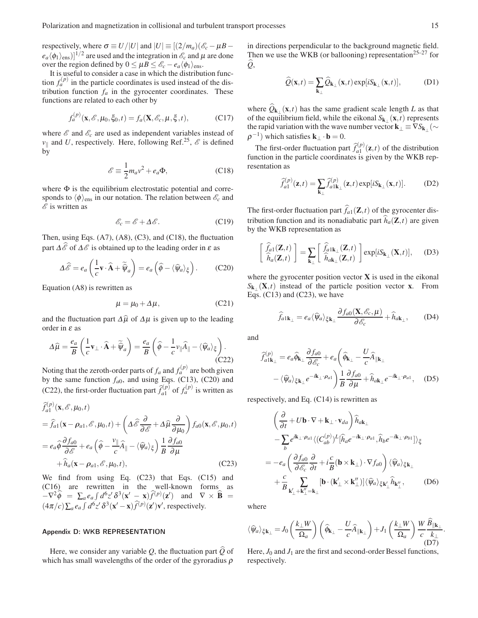respectively, where  $\sigma \equiv U/|U|$  and  $|U| \equiv [(2/m_a)(\mathscr{E}_c - \mu B$  $e_a \langle \phi_1 \rangle_{\text{ens}}$ )]<sup>1/2</sup> are used and the integration in  $\mathscr{E}_c$  and  $\mu$  are done over the region defined by  $0 \leq \mu B \leq \mathcal{E}_c - e_a \langle \phi_1 \rangle_{\text{ens}}$ .

It is useful to consider a case in which the distribution function  $f_a^{(p)}$  in the particle coordinates is used instead of the distribution function  $f_a$  in the gyrocenter coordinates. These functions are related to each other by

$$
f_a^{(p)}(\mathbf{x}, \mathcal{E}, \mu_0, \xi_0, t) = f_a(\mathbf{X}, \mathcal{E}_c, \mu, \xi, t),
$$
 (C17)

where  $\mathscr E$  and  $\mathscr E_c$  are used as independent variables instead of  $v_{\parallel}$  and *U*, respectively. Here, following Ref.<sup>25</sup>,  $\mathcal{E}$  is defined by

$$
\mathscr{E} \equiv \frac{1}{2} m_a v^2 + e_a \Phi, \tag{C18}
$$

where  $\Phi$  is the equilibrium electrostatic potential and corresponds to  $\langle \phi \rangle_{\text{ens}}$  in our notation. The relation between  $\mathscr{E}_c$  and  $\mathscr E$  is written as

$$
\mathscr{E}_c = \mathscr{E} + \Delta \mathscr{E}.\tag{C19}
$$

Then, using Eqs. (A7), (A8), (C3), and (C18), the fluctuation part  $\Delta \mathscr{E}$  of  $\Delta \mathscr{E}$  is obtained up to the leading order in  $\varepsilon$  as

$$
\Delta \widehat{\mathscr{E}} = e_a \left( \frac{1}{c} \mathbf{v} \cdot \widehat{\mathbf{A}} + \widetilde{\widehat{\Psi}}_a \right) = e_a \left( \widehat{\phi} - \langle \widehat{\psi}_a \rangle_{\xi} \right). \tag{C20}
$$

Equation (A8) is rewritten as

$$
\mu = \mu_0 + \Delta \mu, \qquad (C21)
$$

and the fluctuation part  $\Delta \hat{\mu}$  of  $\Delta \mu$  is given up to the leading order in  $\varepsilon$  as

$$
\Delta \widehat{\mu} = \frac{e_a}{B} \left( \frac{1}{c} \mathbf{v}_{\perp} \cdot \widehat{\mathbf{A}} + \widetilde{\widehat{\psi}}_a \right) = \frac{e_a}{B} \left( \widehat{\phi} - \frac{1}{c} v_{\parallel} \widehat{A}_{\parallel} - \langle \widehat{\psi}_a \rangle_{\xi} \right).
$$
\n(C22)

Noting that the zeroth-order parts of  $f_a$  and  $f_a^{(p)}$  are both given by the same function  $f_{a0}$ , and using Eqs. (C13), (C20) and (C22), the first-order fluctuation part  $\hat{f}_{a1}^{(p)}$  $f_{a1}^{(p)}$  of  $f_{a}^{(p)}$  is written as

$$
\hat{f}_{a1}^{(p)}(\mathbf{x}, \mathscr{E}, \mu_0, t) \n= \hat{f}_{a1}(\mathbf{x} - \rho_{a1}, \mathscr{E}, \mu_0, t) + \left( \Delta \hat{\mathscr{E}} \frac{\partial}{\partial \mathscr{E}} + \Delta \hat{\mu} \frac{\partial}{\partial \mu_0} \right) f_{a0}(\mathbf{x}, \mathscr{E}, \mu_0, t) \n= e_a \hat{\phi} \frac{\partial f_{a0}}{\partial \mathscr{E}} + e_a \left( \hat{\phi} - \frac{v_{\parallel}}{c} \hat{A}_{\parallel} - \langle \hat{\psi}_a \rangle_{\xi} \right) \frac{1}{B} \frac{\partial f_{a0}}{\partial \mu} \n+ \hat{h}_a(\mathbf{x} - \rho_{a1}, \mathscr{E}, \mu_0, t),
$$
\n(C23)

We find from using Eq. (C23) that Eqs. (C15) and (C16) are rewritten in the well-known forms as  $-\nabla^2 \widehat{\phi} = \sum_a e_a \int d^6 z' \, \delta^3(\mathbf{x}' - \mathbf{x}) \widehat{f}^{(p)}(\mathbf{z}')$  and  $\nabla \times \widehat{\mathbf{B}} =$  $(4\pi/c)\sum_{a}e_{a}\int d^{6}z'\,\delta^{3}(\mathbf{x}'-\mathbf{x})\widehat{f}^{(p)}(\mathbf{z}')\mathbf{v}'$ , respectively.

## Appendix D: WKB REPRESENTATION

Here, we consider any variable *Q*, the fluctuation part *Q*b of which has small wavelengths of the order of the gyroradius  $\rho$ 

in directions perpendicular to the background magnetic field. Then we use the WKB (or ballooning) representation<sup>25–27</sup> for  $Q$ ,

$$
\widehat{Q}(\mathbf{x},t) = \sum_{\mathbf{k}_{\perp}} \widehat{Q}_{\mathbf{k}_{\perp}}(\mathbf{x},t) \exp[iS_{\mathbf{k}_{\perp}}(\mathbf{x},t)], \tag{D1}
$$

where  $Q_{\mathbf{k}_{\perp}}(\mathbf{x},t)$  has the same gradient scale length *L* as that of the equilibrium field, while the eikonal  $S_{\mathbf{k}_{\perp}}(\mathbf{x},t)$  represents the rapid variation with the wave number vector  ${\bf k}_\perp$   $\equiv$   $\nabla S_{{\bf k}_\perp}$  ( $\sim$  $\rho^{-1}$ ) which satisfies **k**<sub>⊥</sub> · **b** = 0.

The first-order fluctuation part  $\hat{f}_{a1}^{(p)}$  $a_1^{(P)}(\mathbf{z},t)$  of the distribution function in the particle coordinates is given by the WKB representation as

$$
\widehat{f}_{a1}^{(p)}(\mathbf{z},t) = \sum_{\mathbf{k}_{\perp}} \widehat{f}_{a1\mathbf{k}_{\perp}}^{(p)}(\mathbf{z},t) \exp[iS_{\mathbf{k}_{\perp}}(\mathbf{x},t)].
$$
 (D2)

The first-order fluctuation part  $\hat{f}_{a1}(\mathbf{Z},t)$  of the gyrocenter distribution function and its nonadiabatic part  $\hat{h}_a(\mathbf{Z},t)$  are given by the WKB representation as

$$
\begin{bmatrix} \hat{f}_{a1}(\mathbf{Z},t) \\ \hat{h}_{a}(\mathbf{Z},t) \end{bmatrix} = \sum_{\mathbf{k}_{\perp}} \begin{bmatrix} \hat{f}_{a1\mathbf{k}_{\perp}}(\mathbf{Z},t) \\ \hat{h}_{a\mathbf{k}_{\perp}}(\mathbf{Z},t) \end{bmatrix} \exp[iS_{\mathbf{k}_{\perp}}(\mathbf{X},t)], \quad (D3)
$$

where the gyrocenter position vector  $X$  is used in the eikonal  $S_{k_{\perp}}(\mathbf{X},t)$  instead of the particle position vector **x**. From Eqs. (C13) and (C23), we have

$$
\widehat{f}_{a1\mathbf{k}_{\perp}} = e_a \langle \widehat{\psi}_a \rangle_{\xi \mathbf{k}_{\perp}} \frac{\partial f_{a0}(\mathbf{X}, \mathscr{E}_c, \mu)}{\partial \mathscr{E}_c} + \widehat{h}_{a\mathbf{k}_{\perp}}, \quad (D4)
$$

and

$$
\hat{f}_{a1\mathbf{k}_{\perp}}^{(p)} = e_a \hat{\phi}_{\mathbf{k}_{\perp}} \frac{\partial f_{a0}}{\partial \mathscr{E}_c} + e_a \left( \hat{\phi}_{\mathbf{k}_{\perp}} - \frac{U}{c} \hat{A}_{\parallel \mathbf{k}_{\perp}} \right. \n- \langle \hat{\psi}_a \rangle_{\xi \mathbf{k}_{\perp}} e^{-i\mathbf{k}_{\perp} \cdot \rho_{a1}} \left. \right) \frac{1}{B} \frac{\partial f_{a0}}{\partial \mu} + \hat{h}_{a\mathbf{k}_{\perp}} e^{-i\mathbf{k}_{\perp} \cdot \rho_{a1}}, \quad (D5)
$$

respectively, and Eq. (C14) is rewritten as

$$
\begin{split}\n&\left(\frac{\partial}{\partial t} + U\mathbf{b} \cdot \nabla + \mathbf{k}_{\perp} \cdot \mathbf{v}_{da}\right) \hat{h}_{a\mathbf{k}_{\perp}} \\
&\quad - \sum_{b} e^{i\mathbf{k}_{\perp} \cdot \rho_{a1}} \langle (C_{ab}^{(p)})^{L} [\hat{h}_{a} e^{-i\mathbf{k}_{\perp} \cdot \rho_{a1}}, \hat{h}_{b} e^{-i\mathbf{k}_{\perp} \cdot \rho_{b1}}] \rangle_{\xi} \\
&\quad = -e_{a} \left(\frac{\partial f_{a0}}{\partial \mathcal{E}_{c}} \frac{\partial}{\partial t} + i \frac{c}{B} (\mathbf{b} \times \mathbf{k}_{\perp}) \cdot \nabla f_{a0}\right) \langle \hat{\psi}_{a} \rangle_{\xi} \mathbf{k}_{\perp} \\
&\quad + \frac{c}{B} \sum_{\mathbf{k}'_{\perp} + \mathbf{k}''_{\perp} = \mathbf{k}_{\perp}} [\mathbf{b} \cdot (\mathbf{k}'_{\perp} \times \mathbf{k}''_{\perp})] \langle \hat{\psi}_{a} \rangle_{\xi} \mathbf{k}'_{\perp} \hat{h}_{\mathbf{k}''_{\perp}}, \qquad (D6)\n\end{split}
$$

where

$$
\langle \widehat{\psi}_a\rangle_{\xi\mathbf{k}_\perp}=J_0\left(\frac{k_\perp W}{\Omega_a}\right)\left(\widehat{\phi}_{\mathbf{k}_\perp}-\frac{U}{c}\widehat{A}_{\parallel\mathbf{k}_\perp}\right)+J_1\left(\frac{k_\perp W}{\Omega_a}\right)\frac{W}{c}\frac{\widehat{B}_{\parallel\mathbf{k}_\perp}}{\stackrel{k_\perp}{(D7)}}\eqno(57)
$$

.

Here,  $J_0$  and  $J_1$  are the first and second-order Bessel functions, respectively.